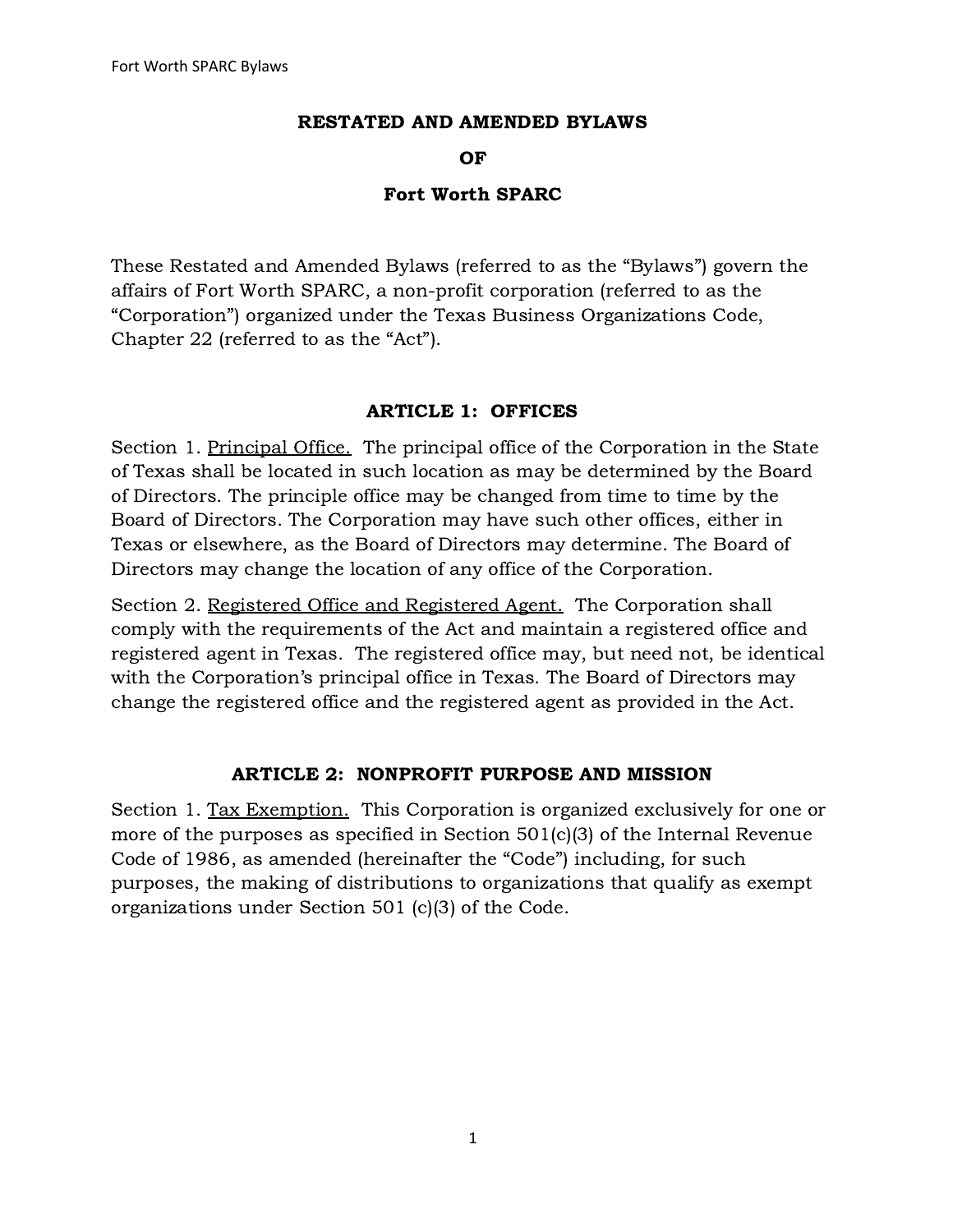#### RESTATED AND AMENDED BYLAWS

#### **OF**

#### Fort Worth SPARC

These Restated and Amended Bylaws (referred to as the "Bylaws") govern the affairs of Fort Worth SPARC, a non-profit corporation (referred to as the "Corporation") organized under the Texas Business Organizations Code, Chapter 22 (referred to as the "Act").

#### ARTICLE 1: OFFICES

Section 1. Principal Office. The principal office of the Corporation in the State of Texas shall be located in such location as may be determined by the Board of Directors. The principle office may be changed from time to time by the Board of Directors. The Corporation may have such other offices, either in Texas or elsewhere, as the Board of Directors may determine. The Board of Directors may change the location of any office of the Corporation.

Section 2. Registered Office and Registered Agent. The Corporation shall comply with the requirements of the Act and maintain a registered office and registered agent in Texas. The registered office may, but need not, be identical with the Corporation's principal office in Texas. The Board of Directors may change the registered office and the registered agent as provided in the Act.

#### ARTICLE 2: NONPROFIT PURPOSE AND MISSION

Section 1. Tax Exemption. This Corporation is organized exclusively for one or more of the purposes as specified in Section 501(c)(3) of the Internal Revenue Code of 1986, as amended (hereinafter the "Code") including, for such purposes, the making of distributions to organizations that qualify as exempt organizations under Section 501 (c)(3) of the Code.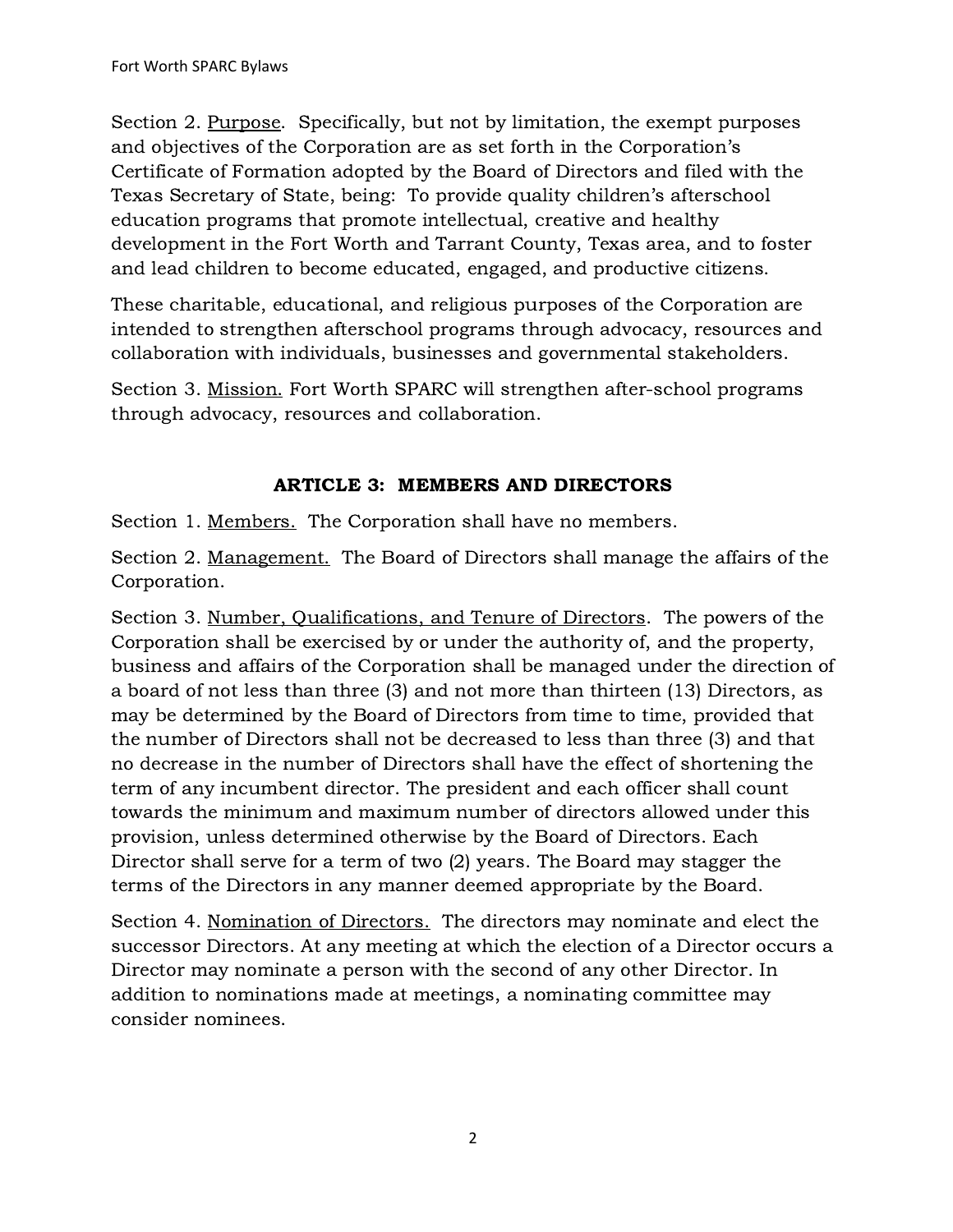Section 2. Purpose. Specifically, but not by limitation, the exempt purposes and objectives of the Corporation are as set forth in the Corporation's Certificate of Formation adopted by the Board of Directors and filed with the Texas Secretary of State, being: To provide quality children's afterschool education programs that promote intellectual, creative and healthy development in the Fort Worth and Tarrant County, Texas area, and to foster and lead children to become educated, engaged, and productive citizens.

These charitable, educational, and religious purposes of the Corporation are intended to strengthen afterschool programs through advocacy, resources and collaboration with individuals, businesses and governmental stakeholders.

Section 3. Mission. Fort Worth SPARC will strengthen after-school programs through advocacy, resources and collaboration.

## ARTICLE 3: MEMBERS AND DIRECTORS

Section 1. Members. The Corporation shall have no members.

Section 2. Management. The Board of Directors shall manage the affairs of the Corporation.

Section 3. Number, Qualifications, and Tenure of Directors. The powers of the Corporation shall be exercised by or under the authority of, and the property, business and affairs of the Corporation shall be managed under the direction of a board of not less than three (3) and not more than thirteen (13) Directors, as may be determined by the Board of Directors from time to time, provided that the number of Directors shall not be decreased to less than three (3) and that no decrease in the number of Directors shall have the effect of shortening the term of any incumbent director. The president and each officer shall count towards the minimum and maximum number of directors allowed under this provision, unless determined otherwise by the Board of Directors. Each Director shall serve for a term of two (2) years. The Board may stagger the terms of the Directors in any manner deemed appropriate by the Board.

Section 4. Nomination of Directors. The directors may nominate and elect the successor Directors. At any meeting at which the election of a Director occurs a Director may nominate a person with the second of any other Director. In addition to nominations made at meetings, a nominating committee may consider nominees.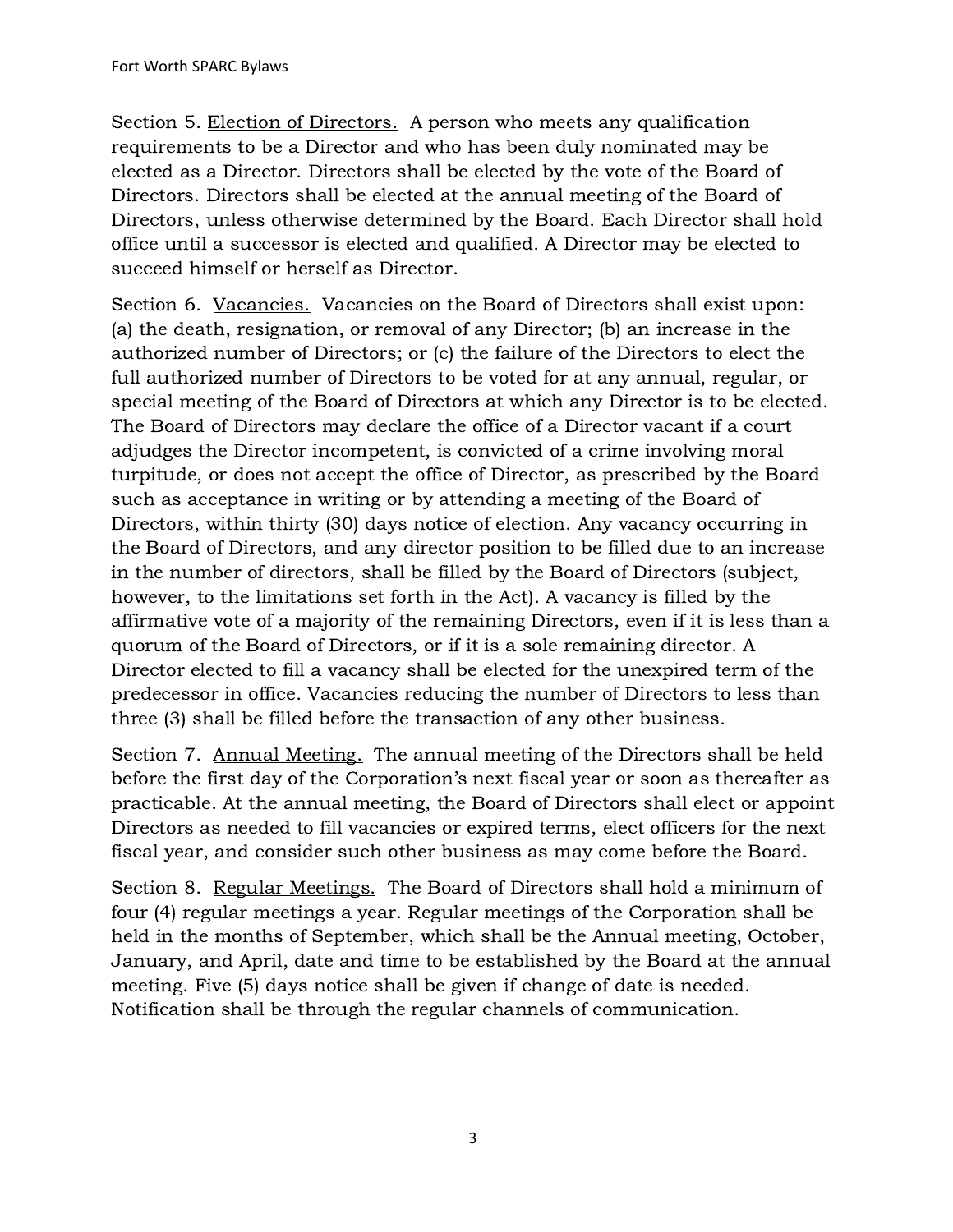Section 5. Election of Directors. A person who meets any qualification requirements to be a Director and who has been duly nominated may be elected as a Director. Directors shall be elected by the vote of the Board of Directors. Directors shall be elected at the annual meeting of the Board of Directors, unless otherwise determined by the Board. Each Director shall hold office until a successor is elected and qualified. A Director may be elected to succeed himself or herself as Director.

Section 6. Vacancies. Vacancies on the Board of Directors shall exist upon: (a) the death, resignation, or removal of any Director; (b) an increase in the authorized number of Directors; or (c) the failure of the Directors to elect the full authorized number of Directors to be voted for at any annual, regular, or special meeting of the Board of Directors at which any Director is to be elected. The Board of Directors may declare the office of a Director vacant if a court adjudges the Director incompetent, is convicted of a crime involving moral turpitude, or does not accept the office of Director, as prescribed by the Board such as acceptance in writing or by attending a meeting of the Board of Directors, within thirty (30) days notice of election. Any vacancy occurring in the Board of Directors, and any director position to be filled due to an increase in the number of directors, shall be filled by the Board of Directors (subject, however, to the limitations set forth in the Act). A vacancy is filled by the affirmative vote of a majority of the remaining Directors, even if it is less than a quorum of the Board of Directors, or if it is a sole remaining director. A Director elected to fill a vacancy shall be elected for the unexpired term of the predecessor in office. Vacancies reducing the number of Directors to less than three (3) shall be filled before the transaction of any other business.

Section 7. Annual Meeting. The annual meeting of the Directors shall be held before the first day of the Corporation's next fiscal year or soon as thereafter as practicable. At the annual meeting, the Board of Directors shall elect or appoint Directors as needed to fill vacancies or expired terms, elect officers for the next fiscal year, and consider such other business as may come before the Board.

Section 8. Regular Meetings. The Board of Directors shall hold a minimum of four (4) regular meetings a year. Regular meetings of the Corporation shall be held in the months of September, which shall be the Annual meeting, October, January, and April, date and time to be established by the Board at the annual meeting. Five (5) days notice shall be given if change of date is needed. Notification shall be through the regular channels of communication.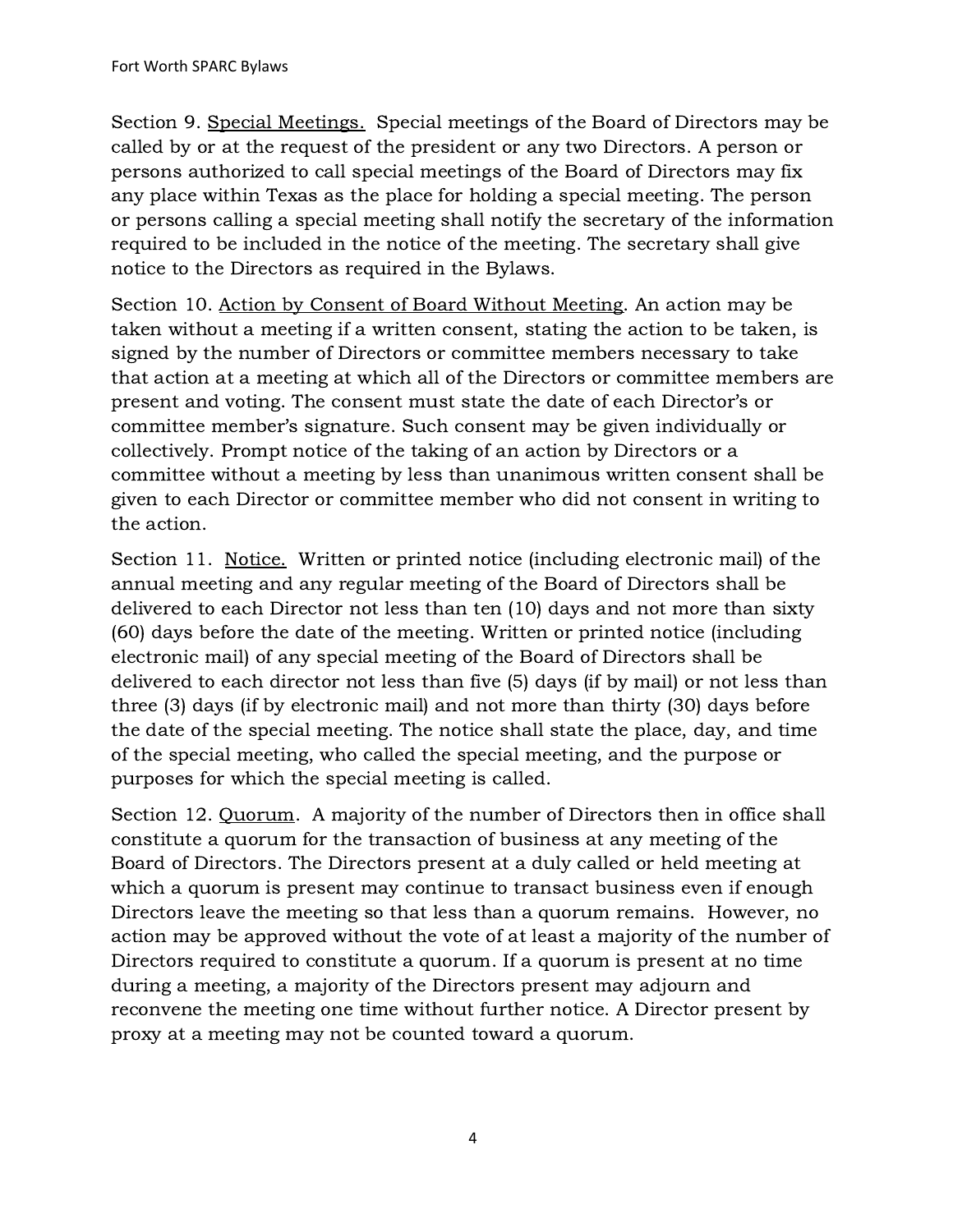Section 9. Special Meetings. Special meetings of the Board of Directors may be called by or at the request of the president or any two Directors. A person or persons authorized to call special meetings of the Board of Directors may fix any place within Texas as the place for holding a special meeting. The person or persons calling a special meeting shall notify the secretary of the information required to be included in the notice of the meeting. The secretary shall give notice to the Directors as required in the Bylaws.

Section 10. Action by Consent of Board Without Meeting. An action may be taken without a meeting if a written consent, stating the action to be taken, is signed by the number of Directors or committee members necessary to take that action at a meeting at which all of the Directors or committee members are present and voting. The consent must state the date of each Director's or committee member's signature. Such consent may be given individually or collectively. Prompt notice of the taking of an action by Directors or a committee without a meeting by less than unanimous written consent shall be given to each Director or committee member who did not consent in writing to the action.

Section 11. Notice. Written or printed notice (including electronic mail) of the annual meeting and any regular meeting of the Board of Directors shall be delivered to each Director not less than ten (10) days and not more than sixty (60) days before the date of the meeting. Written or printed notice (including electronic mail) of any special meeting of the Board of Directors shall be delivered to each director not less than five (5) days (if by mail) or not less than three (3) days (if by electronic mail) and not more than thirty (30) days before the date of the special meeting. The notice shall state the place, day, and time of the special meeting, who called the special meeting, and the purpose or purposes for which the special meeting is called.

Section 12. Quorum. A majority of the number of Directors then in office shall constitute a quorum for the transaction of business at any meeting of the Board of Directors. The Directors present at a duly called or held meeting at which a quorum is present may continue to transact business even if enough Directors leave the meeting so that less than a quorum remains. However, no action may be approved without the vote of at least a majority of the number of Directors required to constitute a quorum. If a quorum is present at no time during a meeting, a majority of the Directors present may adjourn and reconvene the meeting one time without further notice. A Director present by proxy at a meeting may not be counted toward a quorum.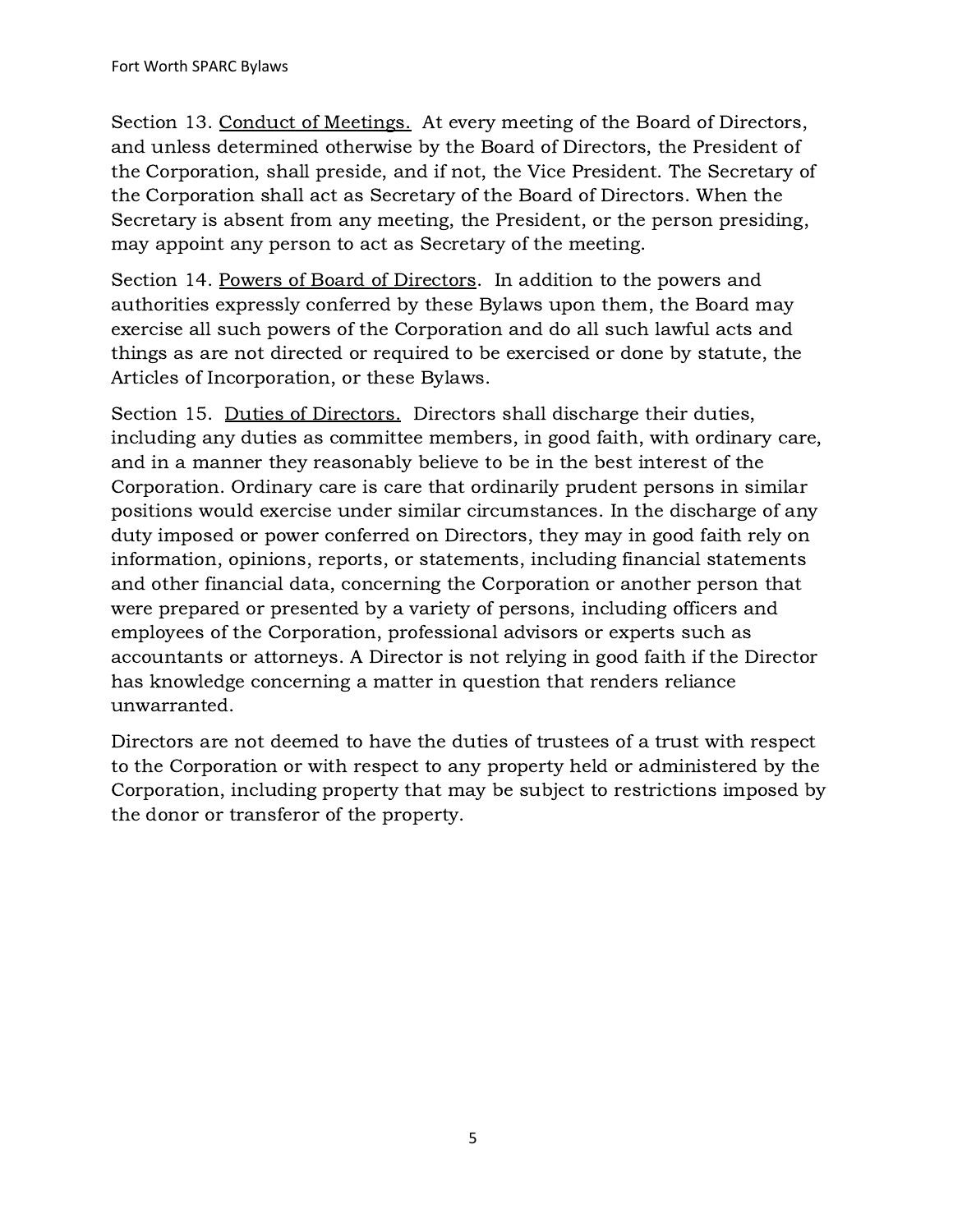Section 13. Conduct of Meetings. At every meeting of the Board of Directors, and unless determined otherwise by the Board of Directors, the President of the Corporation, shall preside, and if not, the Vice President. The Secretary of the Corporation shall act as Secretary of the Board of Directors. When the Secretary is absent from any meeting, the President, or the person presiding, may appoint any person to act as Secretary of the meeting.

Section 14. Powers of Board of Directors. In addition to the powers and authorities expressly conferred by these Bylaws upon them, the Board may exercise all such powers of the Corporation and do all such lawful acts and things as are not directed or required to be exercised or done by statute, the Articles of Incorporation, or these Bylaws.

Section 15. Duties of Directors. Directors shall discharge their duties, including any duties as committee members, in good faith, with ordinary care, and in a manner they reasonably believe to be in the best interest of the Corporation. Ordinary care is care that ordinarily prudent persons in similar positions would exercise under similar circumstances. In the discharge of any duty imposed or power conferred on Directors, they may in good faith rely on information, opinions, reports, or statements, including financial statements and other financial data, concerning the Corporation or another person that were prepared or presented by a variety of persons, including officers and employees of the Corporation, professional advisors or experts such as accountants or attorneys. A Director is not relying in good faith if the Director has knowledge concerning a matter in question that renders reliance unwarranted.

Directors are not deemed to have the duties of trustees of a trust with respect to the Corporation or with respect to any property held or administered by the Corporation, including property that may be subject to restrictions imposed by the donor or transferor of the property.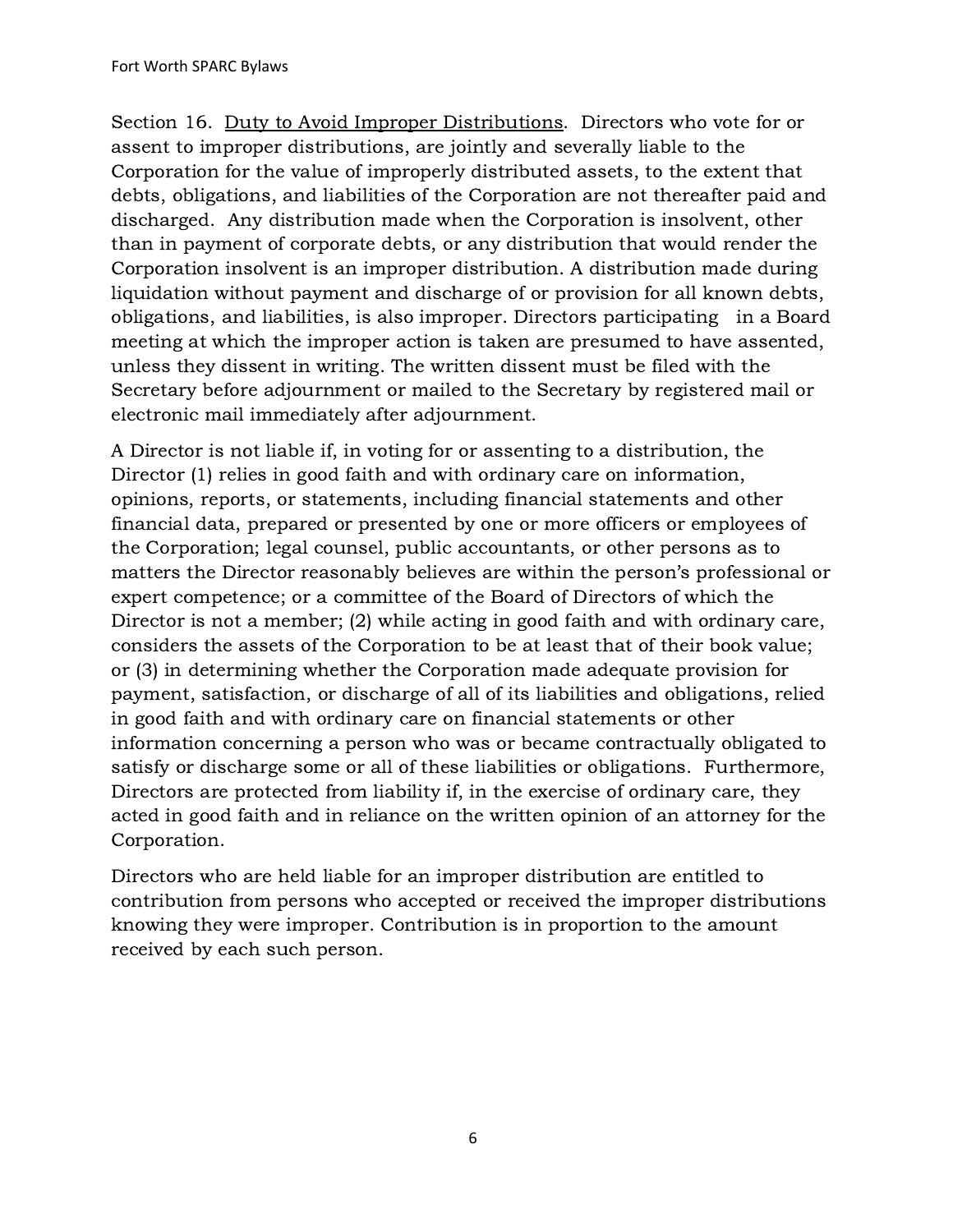Section 16. Duty to Avoid Improper Distributions. Directors who vote for or assent to improper distributions, are jointly and severally liable to the Corporation for the value of improperly distributed assets, to the extent that debts, obligations, and liabilities of the Corporation are not thereafter paid and discharged. Any distribution made when the Corporation is insolvent, other than in payment of corporate debts, or any distribution that would render the Corporation insolvent is an improper distribution. A distribution made during liquidation without payment and discharge of or provision for all known debts, obligations, and liabilities, is also improper. Directors participating in a Board meeting at which the improper action is taken are presumed to have assented, unless they dissent in writing. The written dissent must be filed with the Secretary before adjournment or mailed to the Secretary by registered mail or electronic mail immediately after adjournment.

A Director is not liable if, in voting for or assenting to a distribution, the Director (1) relies in good faith and with ordinary care on information, opinions, reports, or statements, including financial statements and other financial data, prepared or presented by one or more officers or employees of the Corporation; legal counsel, public accountants, or other persons as to matters the Director reasonably believes are within the person's professional or expert competence; or a committee of the Board of Directors of which the Director is not a member; (2) while acting in good faith and with ordinary care, considers the assets of the Corporation to be at least that of their book value; or (3) in determining whether the Corporation made adequate provision for payment, satisfaction, or discharge of all of its liabilities and obligations, relied in good faith and with ordinary care on financial statements or other information concerning a person who was or became contractually obligated to satisfy or discharge some or all of these liabilities or obligations. Furthermore, Directors are protected from liability if, in the exercise of ordinary care, they acted in good faith and in reliance on the written opinion of an attorney for the Corporation.

Directors who are held liable for an improper distribution are entitled to contribution from persons who accepted or received the improper distributions knowing they were improper. Contribution is in proportion to the amount received by each such person.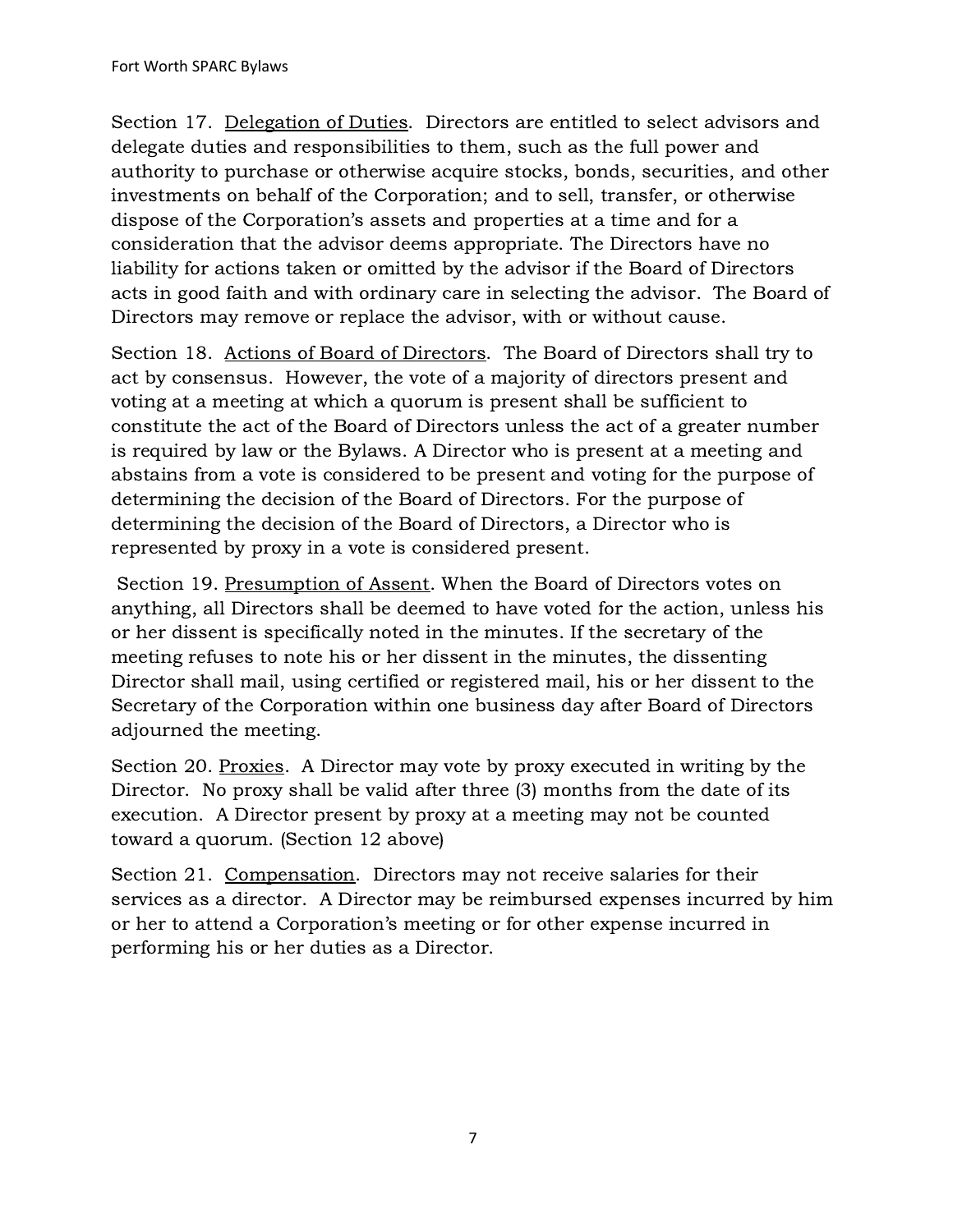Section 17. Delegation of Duties. Directors are entitled to select advisors and delegate duties and responsibilities to them, such as the full power and authority to purchase or otherwise acquire stocks, bonds, securities, and other investments on behalf of the Corporation; and to sell, transfer, or otherwise dispose of the Corporation's assets and properties at a time and for a consideration that the advisor deems appropriate. The Directors have no liability for actions taken or omitted by the advisor if the Board of Directors acts in good faith and with ordinary care in selecting the advisor. The Board of Directors may remove or replace the advisor, with or without cause.

Section 18. Actions of Board of Directors. The Board of Directors shall try to act by consensus. However, the vote of a majority of directors present and voting at a meeting at which a quorum is present shall be sufficient to constitute the act of the Board of Directors unless the act of a greater number is required by law or the Bylaws. A Director who is present at a meeting and abstains from a vote is considered to be present and voting for the purpose of determining the decision of the Board of Directors. For the purpose of determining the decision of the Board of Directors, a Director who is represented by proxy in a vote is considered present.

 Section 19. Presumption of Assent. When the Board of Directors votes on anything, all Directors shall be deemed to have voted for the action, unless his or her dissent is specifically noted in the minutes. If the secretary of the meeting refuses to note his or her dissent in the minutes, the dissenting Director shall mail, using certified or registered mail, his or her dissent to the Secretary of the Corporation within one business day after Board of Directors adjourned the meeting.

Section 20. Proxies. A Director may vote by proxy executed in writing by the Director. No proxy shall be valid after three (3) months from the date of its execution. A Director present by proxy at a meeting may not be counted toward a quorum. (Section 12 above)

Section 21. Compensation. Directors may not receive salaries for their services as a director. A Director may be reimbursed expenses incurred by him or her to attend a Corporation's meeting or for other expense incurred in performing his or her duties as a Director.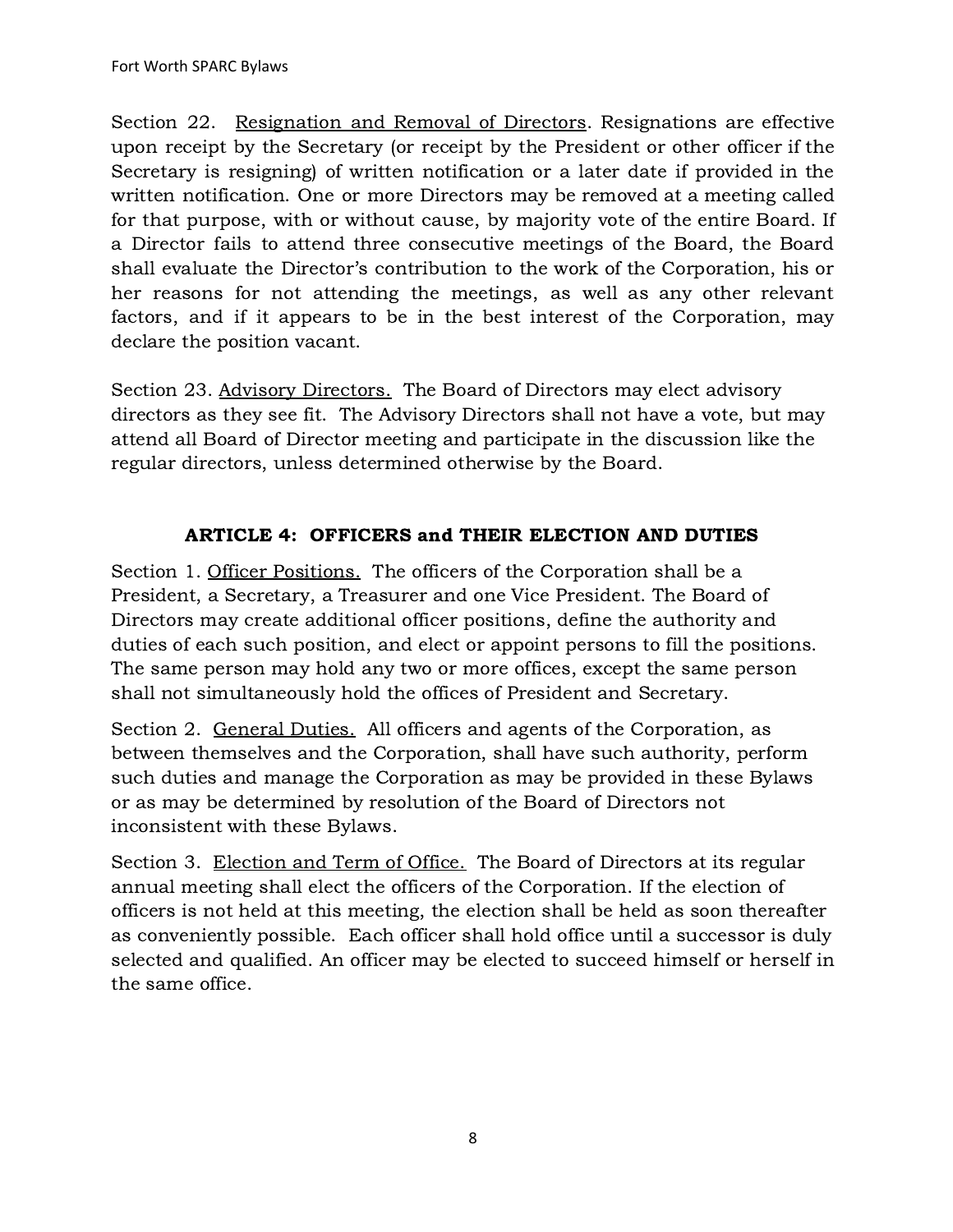Section 22. Resignation and Removal of Directors. Resignations are effective upon receipt by the Secretary (or receipt by the President or other officer if the Secretary is resigning) of written notification or a later date if provided in the written notification. One or more Directors may be removed at a meeting called for that purpose, with or without cause, by majority vote of the entire Board. If a Director fails to attend three consecutive meetings of the Board, the Board shall evaluate the Director's contribution to the work of the Corporation, his or her reasons for not attending the meetings, as well as any other relevant factors, and if it appears to be in the best interest of the Corporation, may declare the position vacant.

Section 23. Advisory Directors. The Board of Directors may elect advisory directors as they see fit. The Advisory Directors shall not have a vote, but may attend all Board of Director meeting and participate in the discussion like the regular directors, unless determined otherwise by the Board.

# ARTICLE 4: OFFICERS and THEIR ELECTION AND DUTIES

Section 1. Officer Positions. The officers of the Corporation shall be a President, a Secretary, a Treasurer and one Vice President. The Board of Directors may create additional officer positions, define the authority and duties of each such position, and elect or appoint persons to fill the positions. The same person may hold any two or more offices, except the same person shall not simultaneously hold the offices of President and Secretary.

Section 2. General Duties. All officers and agents of the Corporation, as between themselves and the Corporation, shall have such authority, perform such duties and manage the Corporation as may be provided in these Bylaws or as may be determined by resolution of the Board of Directors not inconsistent with these Bylaws.

Section 3. Election and Term of Office. The Board of Directors at its regular annual meeting shall elect the officers of the Corporation. If the election of officers is not held at this meeting, the election shall be held as soon thereafter as conveniently possible. Each officer shall hold office until a successor is duly selected and qualified. An officer may be elected to succeed himself or herself in the same office.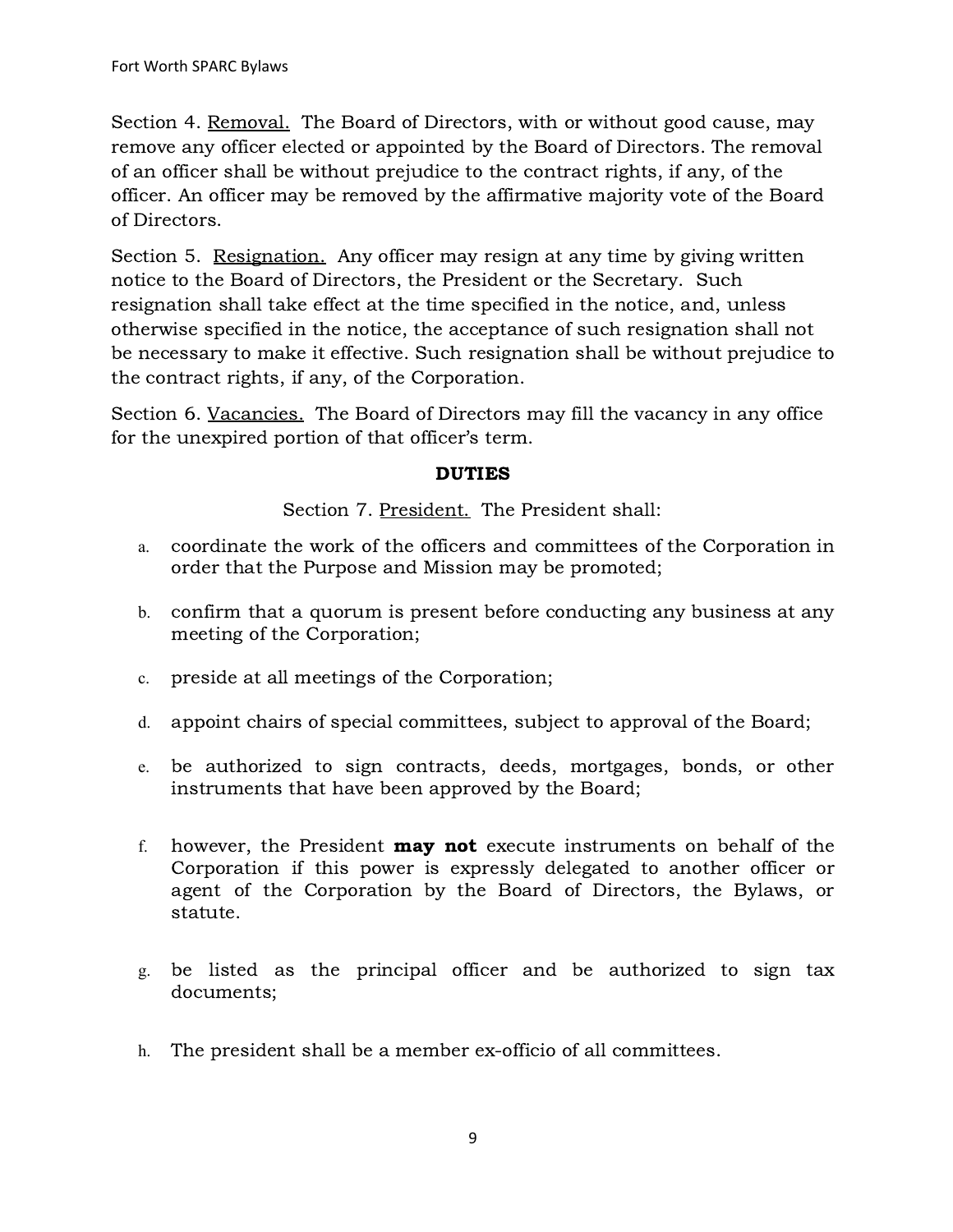Section 4. Removal. The Board of Directors, with or without good cause, may remove any officer elected or appointed by the Board of Directors. The removal of an officer shall be without prejudice to the contract rights, if any, of the officer. An officer may be removed by the affirmative majority vote of the Board of Directors.

Section 5. Resignation. Any officer may resign at any time by giving written notice to the Board of Directors, the President or the Secretary. Such resignation shall take effect at the time specified in the notice, and, unless otherwise specified in the notice, the acceptance of such resignation shall not be necessary to make it effective. Such resignation shall be without prejudice to the contract rights, if any, of the Corporation.

Section 6. Vacancies. The Board of Directors may fill the vacancy in any office for the unexpired portion of that officer's term.

#### DUTIES

Section 7. President. The President shall:

- a. coordinate the work of the officers and committees of the Corporation in order that the Purpose and Mission may be promoted;
- b. confirm that a quorum is present before conducting any business at any meeting of the Corporation;
- c. preside at all meetings of the Corporation;
- d. appoint chairs of special committees, subject to approval of the Board;
- e. be authorized to sign contracts, deeds, mortgages, bonds, or other instruments that have been approved by the Board;
- f. however, the President may not execute instruments on behalf of the Corporation if this power is expressly delegated to another officer or agent of the Corporation by the Board of Directors, the Bylaws, or statute.
- g. be listed as the principal officer and be authorized to sign tax documents;
- h. The president shall be a member ex-officio of all committees.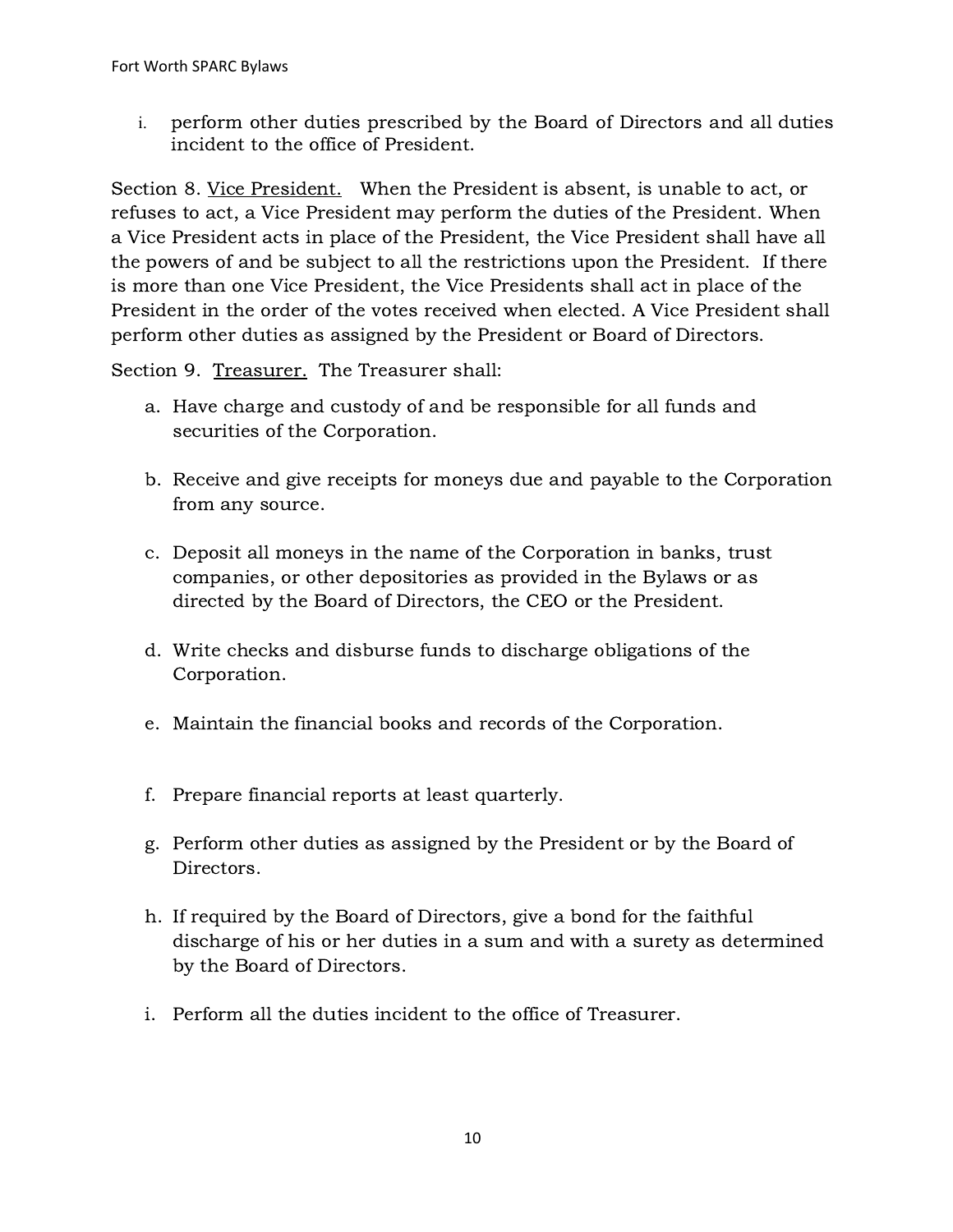i. perform other duties prescribed by the Board of Directors and all duties incident to the office of President.

Section 8. Vice President. When the President is absent, is unable to act, or refuses to act, a Vice President may perform the duties of the President. When a Vice President acts in place of the President, the Vice President shall have all the powers of and be subject to all the restrictions upon the President. If there is more than one Vice President, the Vice Presidents shall act in place of the President in the order of the votes received when elected. A Vice President shall perform other duties as assigned by the President or Board of Directors.

Section 9. Treasurer. The Treasurer shall:

- a. Have charge and custody of and be responsible for all funds and securities of the Corporation.
- b. Receive and give receipts for moneys due and payable to the Corporation from any source.
- c. Deposit all moneys in the name of the Corporation in banks, trust companies, or other depositories as provided in the Bylaws or as directed by the Board of Directors, the CEO or the President.
- d. Write checks and disburse funds to discharge obligations of the Corporation.
- e. Maintain the financial books and records of the Corporation.
- f. Prepare financial reports at least quarterly.
- g. Perform other duties as assigned by the President or by the Board of Directors.
- h. If required by the Board of Directors, give a bond for the faithful discharge of his or her duties in a sum and with a surety as determined by the Board of Directors.
- i. Perform all the duties incident to the office of Treasurer.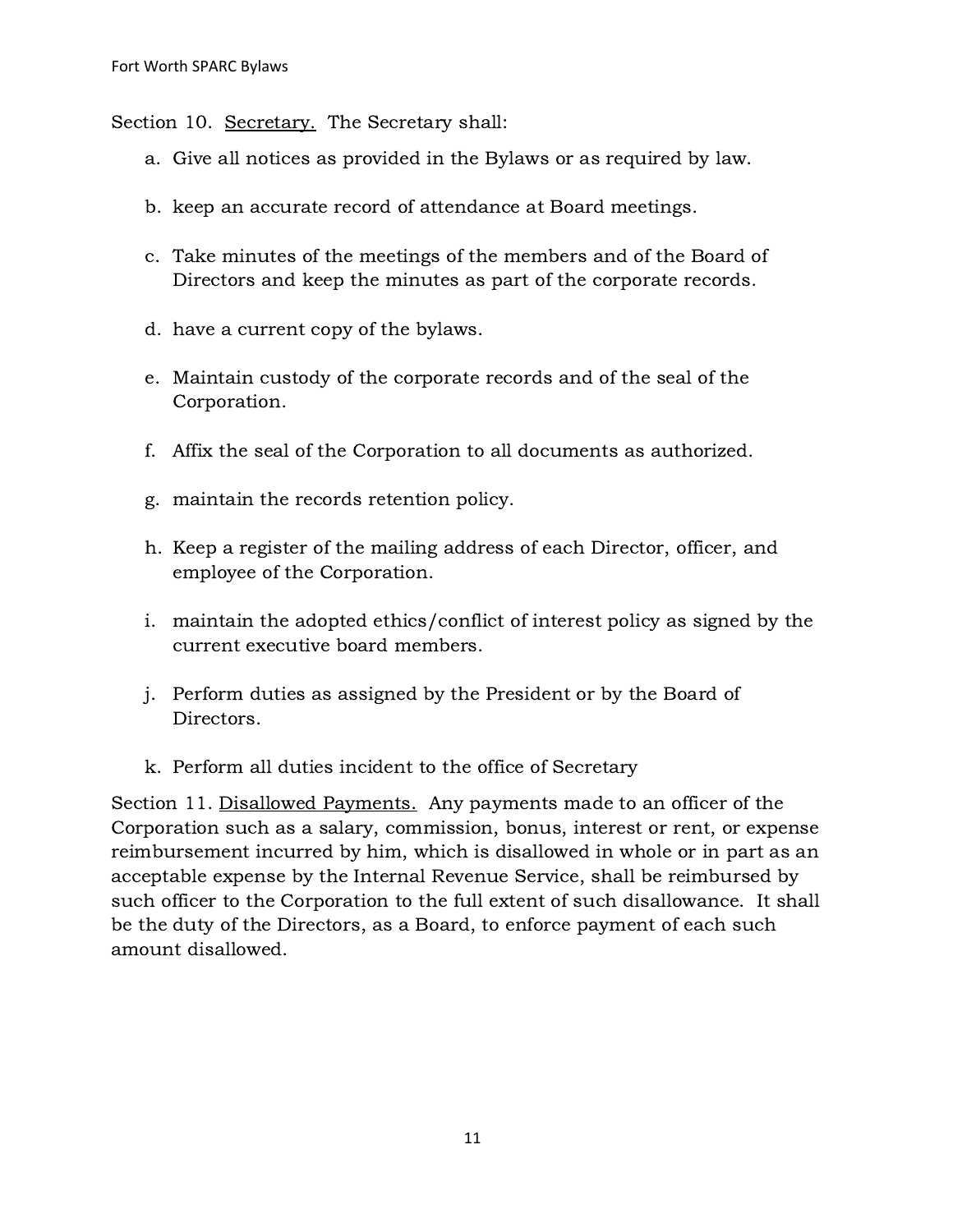Section 10. Secretary. The Secretary shall:

- a. Give all notices as provided in the Bylaws or as required by law.
- b. keep an accurate record of attendance at Board meetings.
- c. Take minutes of the meetings of the members and of the Board of Directors and keep the minutes as part of the corporate records.
- d. have a current copy of the bylaws.
- e. Maintain custody of the corporate records and of the seal of the Corporation.
- f. Affix the seal of the Corporation to all documents as authorized.
- g. maintain the records retention policy.
- h. Keep a register of the mailing address of each Director, officer, and employee of the Corporation.
- i. maintain the adopted ethics/conflict of interest policy as signed by the current executive board members.
- j. Perform duties as assigned by the President or by the Board of Directors.
- k. Perform all duties incident to the office of Secretary

Section 11. Disallowed Payments. Any payments made to an officer of the Corporation such as a salary, commission, bonus, interest or rent, or expense reimbursement incurred by him, which is disallowed in whole or in part as an acceptable expense by the Internal Revenue Service, shall be reimbursed by such officer to the Corporation to the full extent of such disallowance. It shall be the duty of the Directors, as a Board, to enforce payment of each such amount disallowed.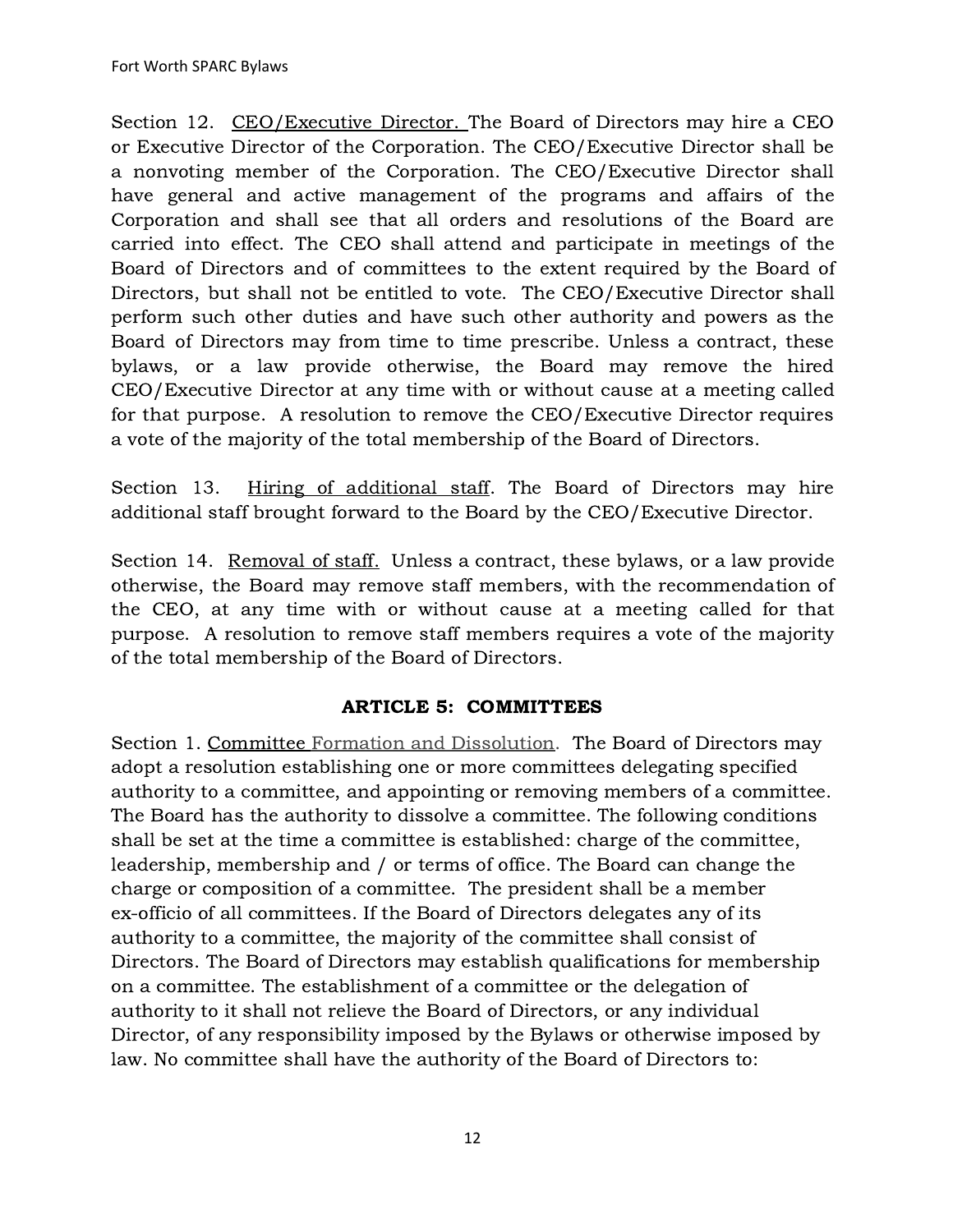Section 12. CEO/Executive Director. The Board of Directors may hire a CEO or Executive Director of the Corporation. The CEO/Executive Director shall be a nonvoting member of the Corporation. The CEO/Executive Director shall have general and active management of the programs and affairs of the Corporation and shall see that all orders and resolutions of the Board are carried into effect. The CEO shall attend and participate in meetings of the Board of Directors and of committees to the extent required by the Board of Directors, but shall not be entitled to vote. The CEO/Executive Director shall perform such other duties and have such other authority and powers as the Board of Directors may from time to time prescribe. Unless a contract, these bylaws, or a law provide otherwise, the Board may remove the hired CEO/Executive Director at any time with or without cause at a meeting called for that purpose. A resolution to remove the CEO/Executive Director requires a vote of the majority of the total membership of the Board of Directors.

Section 13. Hiring of additional staff. The Board of Directors may hire additional staff brought forward to the Board by the CEO/Executive Director.

Section 14. Removal of staff. Unless a contract, these bylaws, or a law provide otherwise, the Board may remove staff members, with the recommendation of the CEO, at any time with or without cause at a meeting called for that purpose. A resolution to remove staff members requires a vote of the majority of the total membership of the Board of Directors.

## ARTICLE 5: COMMITTEES

Section 1. Committee Formation and Dissolution. The Board of Directors may adopt a resolution establishing one or more committees delegating specified authority to a committee, and appointing or removing members of a committee. The Board has the authority to dissolve a committee. The following conditions shall be set at the time a committee is established: charge of the committee, leadership, membership and / or terms of office. The Board can change the charge or composition of a committee. The president shall be a member ex-officio of all committees. If the Board of Directors delegates any of its authority to a committee, the majority of the committee shall consist of Directors. The Board of Directors may establish qualifications for membership on a committee. The establishment of a committee or the delegation of authority to it shall not relieve the Board of Directors, or any individual Director, of any responsibility imposed by the Bylaws or otherwise imposed by law. No committee shall have the authority of the Board of Directors to: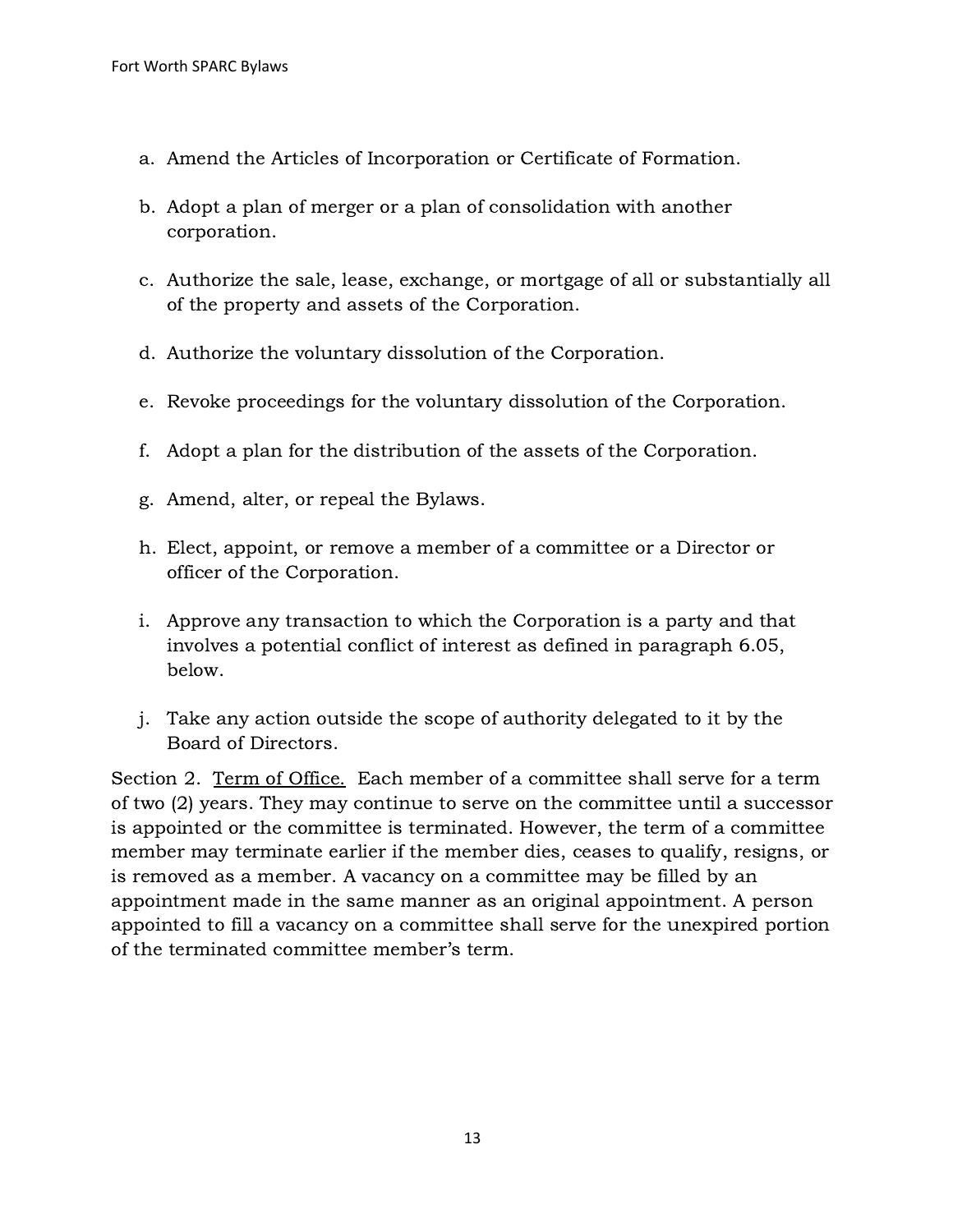- a. Amend the Articles of Incorporation or Certificate of Formation.
- b. Adopt a plan of merger or a plan of consolidation with another corporation.
- c. Authorize the sale, lease, exchange, or mortgage of all or substantially all of the property and assets of the Corporation.
- d. Authorize the voluntary dissolution of the Corporation.
- e. Revoke proceedings for the voluntary dissolution of the Corporation.
- f. Adopt a plan for the distribution of the assets of the Corporation.
- g. Amend, alter, or repeal the Bylaws.
- h. Elect, appoint, or remove a member of a committee or a Director or officer of the Corporation.
- i. Approve any transaction to which the Corporation is a party and that involves a potential conflict of interest as defined in paragraph 6.05, below.
- j. Take any action outside the scope of authority delegated to it by the Board of Directors.

Section 2. Term of Office. Each member of a committee shall serve for a term of two (2) years. They may continue to serve on the committee until a successor is appointed or the committee is terminated. However, the term of a committee member may terminate earlier if the member dies, ceases to qualify, resigns, or is removed as a member. A vacancy on a committee may be filled by an appointment made in the same manner as an original appointment. A person appointed to fill a vacancy on a committee shall serve for the unexpired portion of the terminated committee member's term.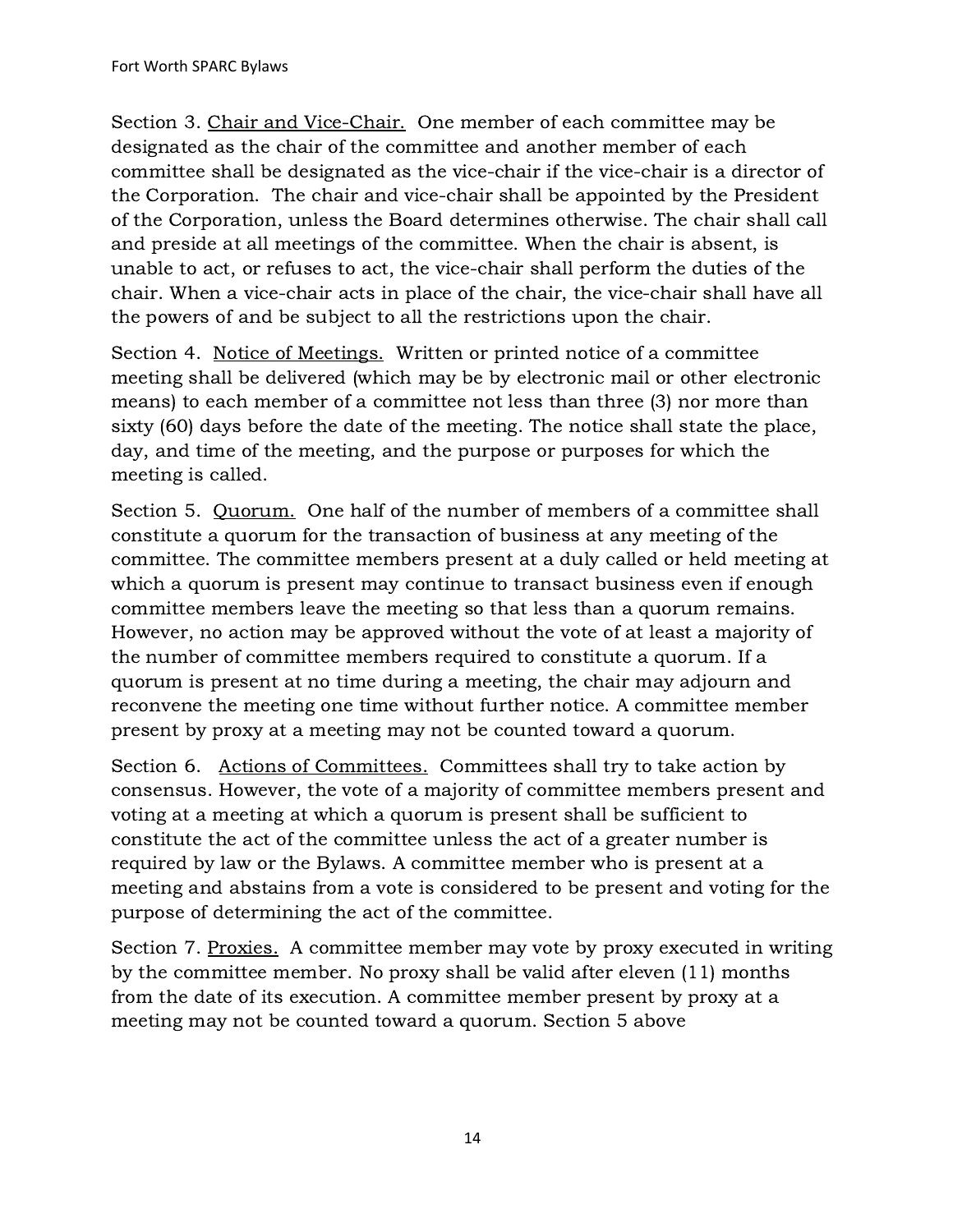Section 3. Chair and Vice-Chair. One member of each committee may be designated as the chair of the committee and another member of each committee shall be designated as the vice-chair if the vice-chair is a director of the Corporation. The chair and vice-chair shall be appointed by the President of the Corporation, unless the Board determines otherwise. The chair shall call and preside at all meetings of the committee. When the chair is absent, is unable to act, or refuses to act, the vice-chair shall perform the duties of the chair. When a vice-chair acts in place of the chair, the vice-chair shall have all the powers of and be subject to all the restrictions upon the chair.

Section 4. Notice of Meetings. Written or printed notice of a committee meeting shall be delivered (which may be by electronic mail or other electronic means) to each member of a committee not less than three (3) nor more than sixty (60) days before the date of the meeting. The notice shall state the place, day, and time of the meeting, and the purpose or purposes for which the meeting is called.

Section 5. Quorum. One half of the number of members of a committee shall constitute a quorum for the transaction of business at any meeting of the committee. The committee members present at a duly called or held meeting at which a quorum is present may continue to transact business even if enough committee members leave the meeting so that less than a quorum remains. However, no action may be approved without the vote of at least a majority of the number of committee members required to constitute a quorum. If a quorum is present at no time during a meeting, the chair may adjourn and reconvene the meeting one time without further notice. A committee member present by proxy at a meeting may not be counted toward a quorum.

Section 6. Actions of Committees. Committees shall try to take action by consensus. However, the vote of a majority of committee members present and voting at a meeting at which a quorum is present shall be sufficient to constitute the act of the committee unless the act of a greater number is required by law or the Bylaws. A committee member who is present at a meeting and abstains from a vote is considered to be present and voting for the purpose of determining the act of the committee.

Section 7. Proxies. A committee member may vote by proxy executed in writing by the committee member. No proxy shall be valid after eleven (11) months from the date of its execution. A committee member present by proxy at a meeting may not be counted toward a quorum. Section 5 above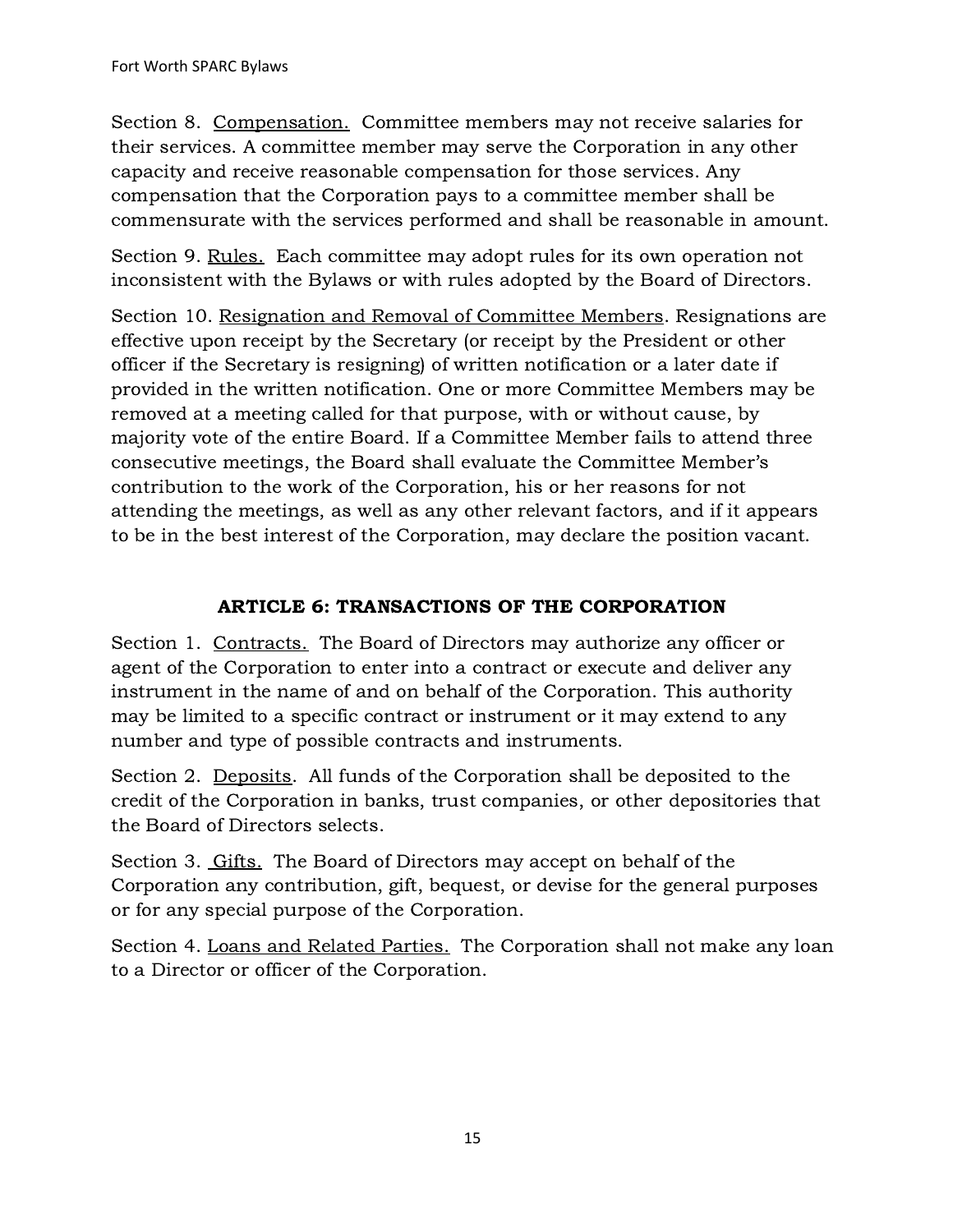Section 8. Compensation. Committee members may not receive salaries for their services. A committee member may serve the Corporation in any other capacity and receive reasonable compensation for those services. Any compensation that the Corporation pays to a committee member shall be commensurate with the services performed and shall be reasonable in amount.

Section 9. Rules. Each committee may adopt rules for its own operation not inconsistent with the Bylaws or with rules adopted by the Board of Directors.

Section 10. Resignation and Removal of Committee Members. Resignations are effective upon receipt by the Secretary (or receipt by the President or other officer if the Secretary is resigning) of written notification or a later date if provided in the written notification. One or more Committee Members may be removed at a meeting called for that purpose, with or without cause, by majority vote of the entire Board. If a Committee Member fails to attend three consecutive meetings, the Board shall evaluate the Committee Member's contribution to the work of the Corporation, his or her reasons for not attending the meetings, as well as any other relevant factors, and if it appears to be in the best interest of the Corporation, may declare the position vacant.

# ARTICLE 6: TRANSACTIONS OF THE CORPORATION

Section 1. Contracts. The Board of Directors may authorize any officer or agent of the Corporation to enter into a contract or execute and deliver any instrument in the name of and on behalf of the Corporation. This authority may be limited to a specific contract or instrument or it may extend to any number and type of possible contracts and instruments.

Section 2. Deposits. All funds of the Corporation shall be deposited to the credit of the Corporation in banks, trust companies, or other depositories that the Board of Directors selects.

Section 3. Gifts. The Board of Directors may accept on behalf of the Corporation any contribution, gift, bequest, or devise for the general purposes or for any special purpose of the Corporation.

Section 4. Loans and Related Parties. The Corporation shall not make any loan to a Director or officer of the Corporation.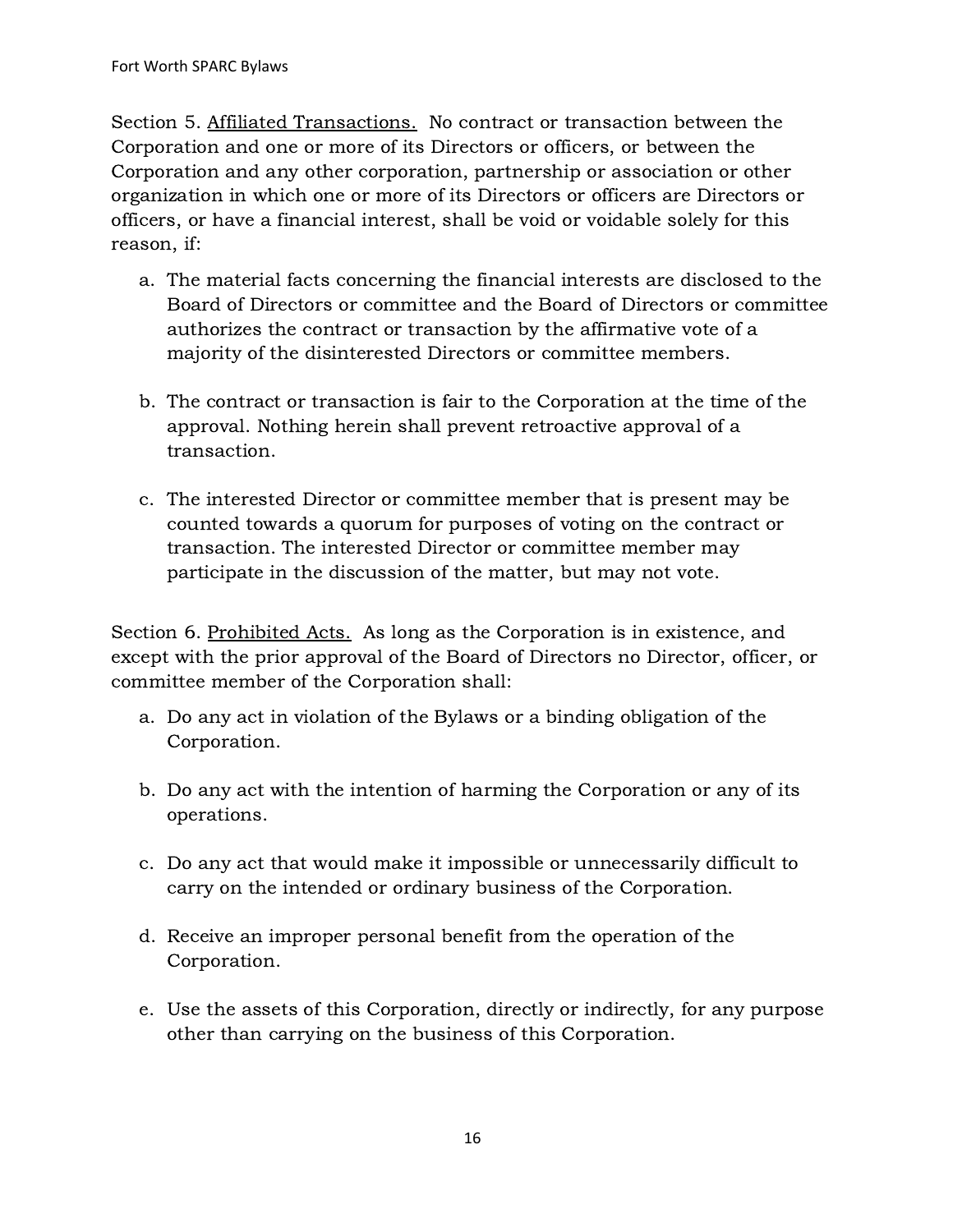Section 5. Affiliated Transactions. No contract or transaction between the Corporation and one or more of its Directors or officers, or between the Corporation and any other corporation, partnership or association or other organization in which one or more of its Directors or officers are Directors or officers, or have a financial interest, shall be void or voidable solely for this reason, if:

- a. The material facts concerning the financial interests are disclosed to the Board of Directors or committee and the Board of Directors or committee authorizes the contract or transaction by the affirmative vote of a majority of the disinterested Directors or committee members.
- b. The contract or transaction is fair to the Corporation at the time of the approval. Nothing herein shall prevent retroactive approval of a transaction.
- c. The interested Director or committee member that is present may be counted towards a quorum for purposes of voting on the contract or transaction. The interested Director or committee member may participate in the discussion of the matter, but may not vote.

Section 6. Prohibited Acts. As long as the Corporation is in existence, and except with the prior approval of the Board of Directors no Director, officer, or committee member of the Corporation shall:

- a. Do any act in violation of the Bylaws or a binding obligation of the Corporation.
- b. Do any act with the intention of harming the Corporation or any of its operations.
- c. Do any act that would make it impossible or unnecessarily difficult to carry on the intended or ordinary business of the Corporation.
- d. Receive an improper personal benefit from the operation of the Corporation.
- e. Use the assets of this Corporation, directly or indirectly, for any purpose other than carrying on the business of this Corporation.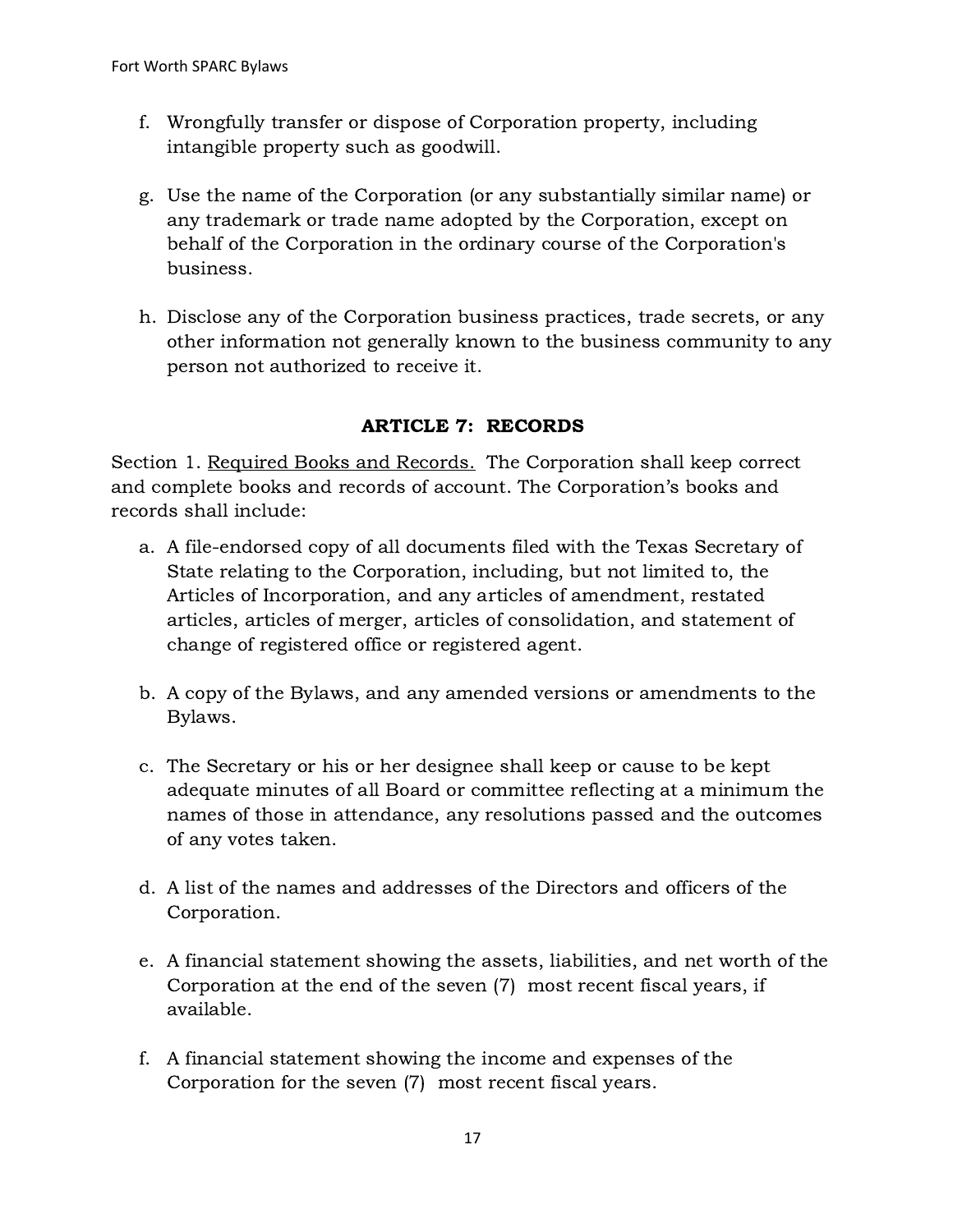- f. Wrongfully transfer or dispose of Corporation property, including intangible property such as goodwill.
- g. Use the name of the Corporation (or any substantially similar name) or any trademark or trade name adopted by the Corporation, except on behalf of the Corporation in the ordinary course of the Corporation's business.
- h. Disclose any of the Corporation business practices, trade secrets, or any other information not generally known to the business community to any person not authorized to receive it.

## ARTICLE 7: RECORDS

Section 1. Required Books and Records. The Corporation shall keep correct and complete books and records of account. The Corporation's books and records shall include:

- a. A file-endorsed copy of all documents filed with the Texas Secretary of State relating to the Corporation, including, but not limited to, the Articles of Incorporation, and any articles of amendment, restated articles, articles of merger, articles of consolidation, and statement of change of registered office or registered agent.
- b. A copy of the Bylaws, and any amended versions or amendments to the Bylaws.
- c. The Secretary or his or her designee shall keep or cause to be kept adequate minutes of all Board or committee reflecting at a minimum the names of those in attendance, any resolutions passed and the outcomes of any votes taken.
- d. A list of the names and addresses of the Directors and officers of the Corporation.
- e. A financial statement showing the assets, liabilities, and net worth of the Corporation at the end of the seven (7) most recent fiscal years, if available.
- f. A financial statement showing the income and expenses of the Corporation for the seven (7) most recent fiscal years.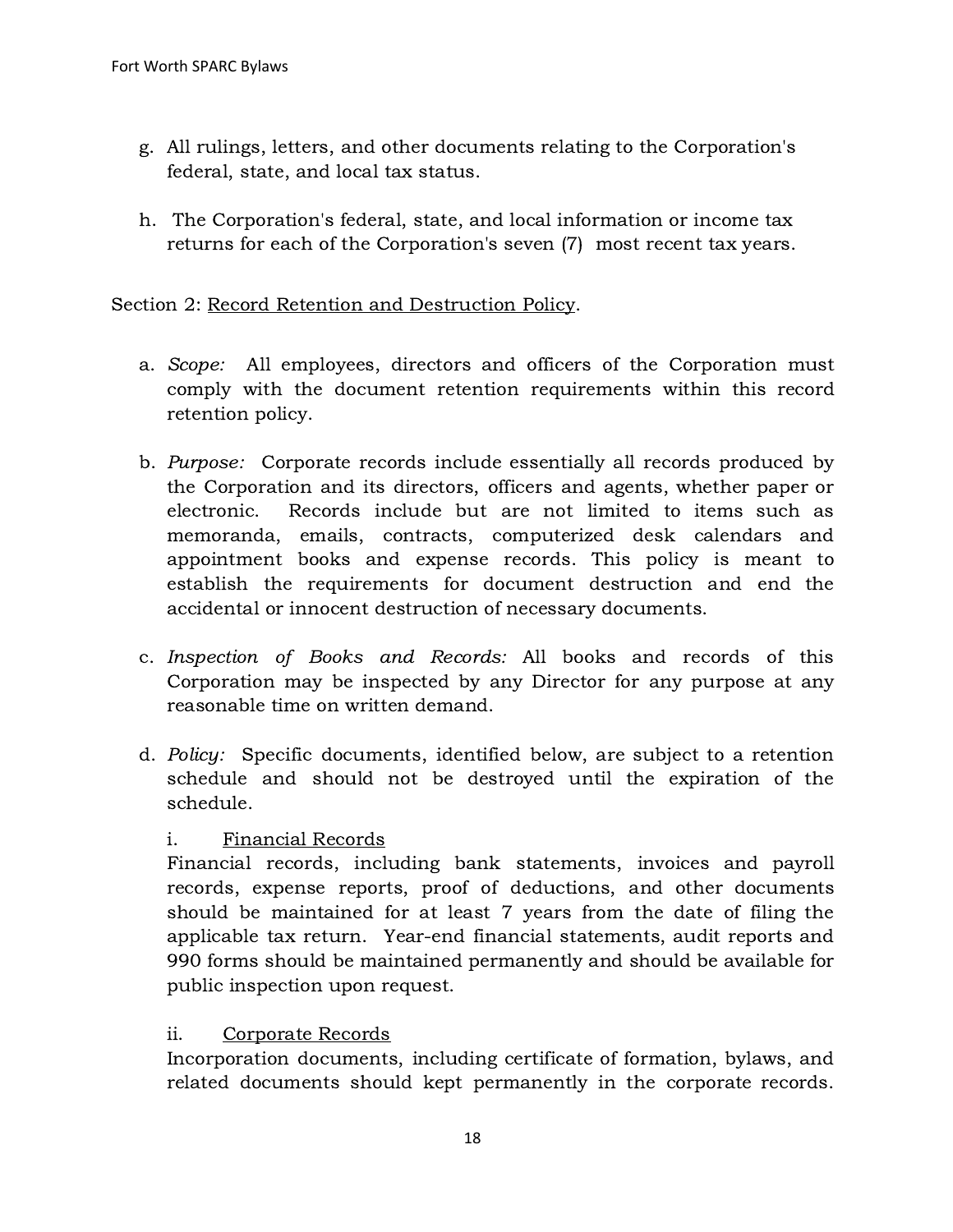- g. All rulings, letters, and other documents relating to the Corporation's federal, state, and local tax status.
- h. The Corporation's federal, state, and local information or income tax returns for each of the Corporation's seven (7) most recent tax years.

Section 2: Record Retention and Destruction Policy.

- a. Scope: All employees, directors and officers of the Corporation must comply with the document retention requirements within this record retention policy.
- b. Purpose: Corporate records include essentially all records produced by the Corporation and its directors, officers and agents, whether paper or electronic. Records include but are not limited to items such as memoranda, emails, contracts, computerized desk calendars and appointment books and expense records. This policy is meant to establish the requirements for document destruction and end the accidental or innocent destruction of necessary documents.
- c. Inspection of Books and Records: All books and records of this Corporation may be inspected by any Director for any purpose at any reasonable time on written demand.
- d. Policy: Specific documents, identified below, are subject to a retention schedule and should not be destroyed until the expiration of the schedule.

## i. Financial Records

Financial records, including bank statements, invoices and payroll records, expense reports, proof of deductions, and other documents should be maintained for at least 7 years from the date of filing the applicable tax return. Year-end financial statements, audit reports and 990 forms should be maintained permanently and should be available for public inspection upon request.

## ii. Corporate Records

Incorporation documents, including certificate of formation, bylaws, and related documents should kept permanently in the corporate records.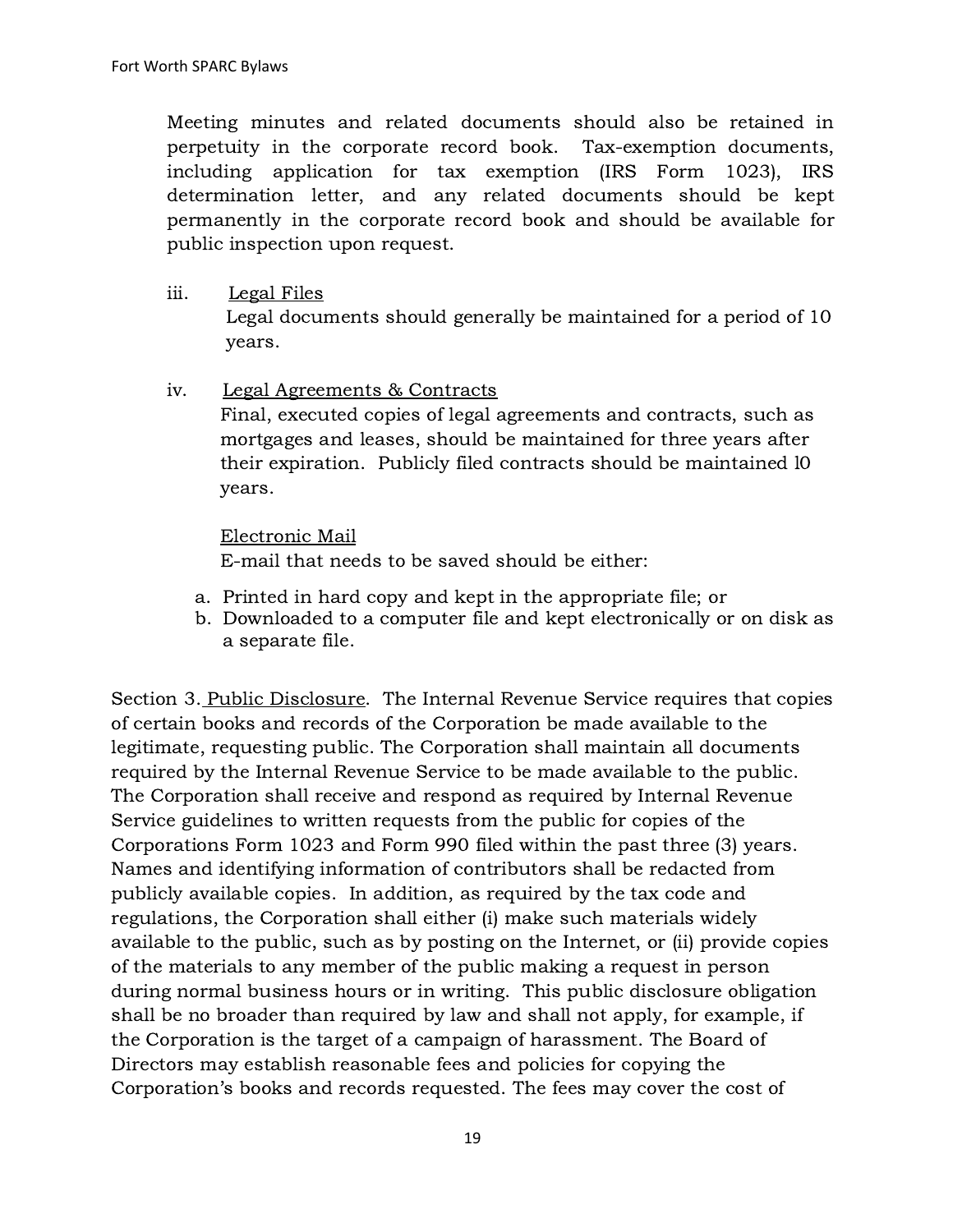Meeting minutes and related documents should also be retained in perpetuity in the corporate record book. Tax-exemption documents, including application for tax exemption (IRS Form 1023), IRS determination letter, and any related documents should be kept permanently in the corporate record book and should be available for public inspection upon request.

iii. Legal Files

 Legal documents should generally be maintained for a period of 10 years.

iv. Legal Agreements & Contracts

 Final, executed copies of legal agreements and contracts, such as mortgages and leases, should be maintained for three years after their expiration. Publicly filed contracts should be maintained l0 years.

Electronic Mail

E-mail that needs to be saved should be either:

- a. Printed in hard copy and kept in the appropriate file; or
- b. Downloaded to a computer file and kept electronically or on disk as a separate file.

Section 3. Public Disclosure. The Internal Revenue Service requires that copies of certain books and records of the Corporation be made available to the legitimate, requesting public. The Corporation shall maintain all documents required by the Internal Revenue Service to be made available to the public. The Corporation shall receive and respond as required by Internal Revenue Service guidelines to written requests from the public for copies of the Corporations Form 1023 and Form 990 filed within the past three (3) years. Names and identifying information of contributors shall be redacted from publicly available copies. In addition, as required by the tax code and regulations, the Corporation shall either (i) make such materials widely available to the public, such as by posting on the Internet, or (ii) provide copies of the materials to any member of the public making a request in person during normal business hours or in writing. This public disclosure obligation shall be no broader than required by law and shall not apply, for example, if the Corporation is the target of a campaign of harassment. The Board of Directors may establish reasonable fees and policies for copying the Corporation's books and records requested. The fees may cover the cost of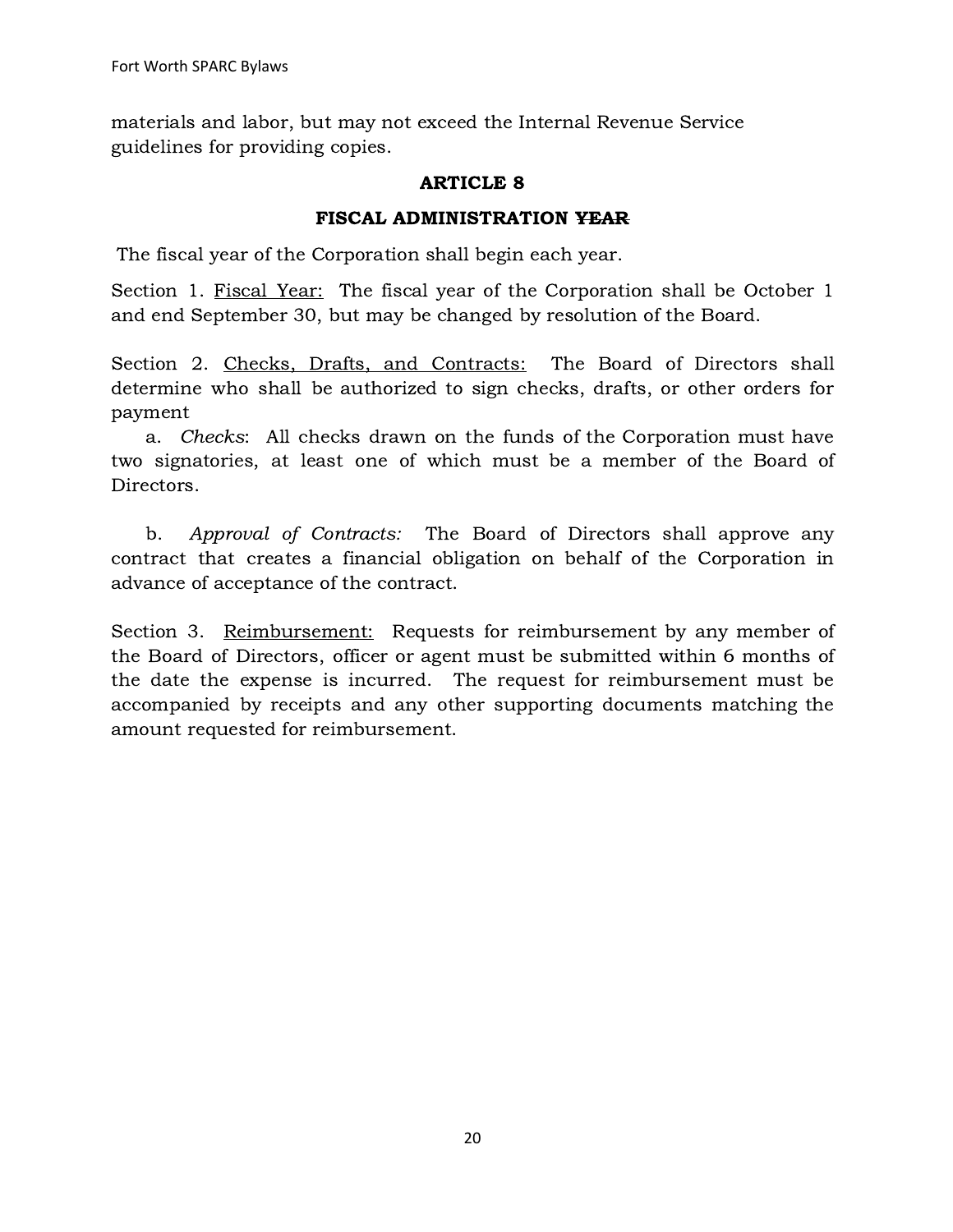materials and labor, but may not exceed the Internal Revenue Service guidelines for providing copies.

#### ARTICLE 8

## FISCAL ADMINISTRATION YEAR

The fiscal year of the Corporation shall begin each year.

Section 1. Fiscal Year: The fiscal year of the Corporation shall be October 1 and end September 30, but may be changed by resolution of the Board.

Section 2. Checks, Drafts, and Contracts: The Board of Directors shall determine who shall be authorized to sign checks, drafts, or other orders for payment

a. Checks: All checks drawn on the funds of the Corporation must have two signatories, at least one of which must be a member of the Board of Directors.

b. Approval of Contracts: The Board of Directors shall approve any contract that creates a financial obligation on behalf of the Corporation in advance of acceptance of the contract.

Section 3. Reimbursement: Requests for reimbursement by any member of the Board of Directors, officer or agent must be submitted within 6 months of the date the expense is incurred. The request for reimbursement must be accompanied by receipts and any other supporting documents matching the amount requested for reimbursement.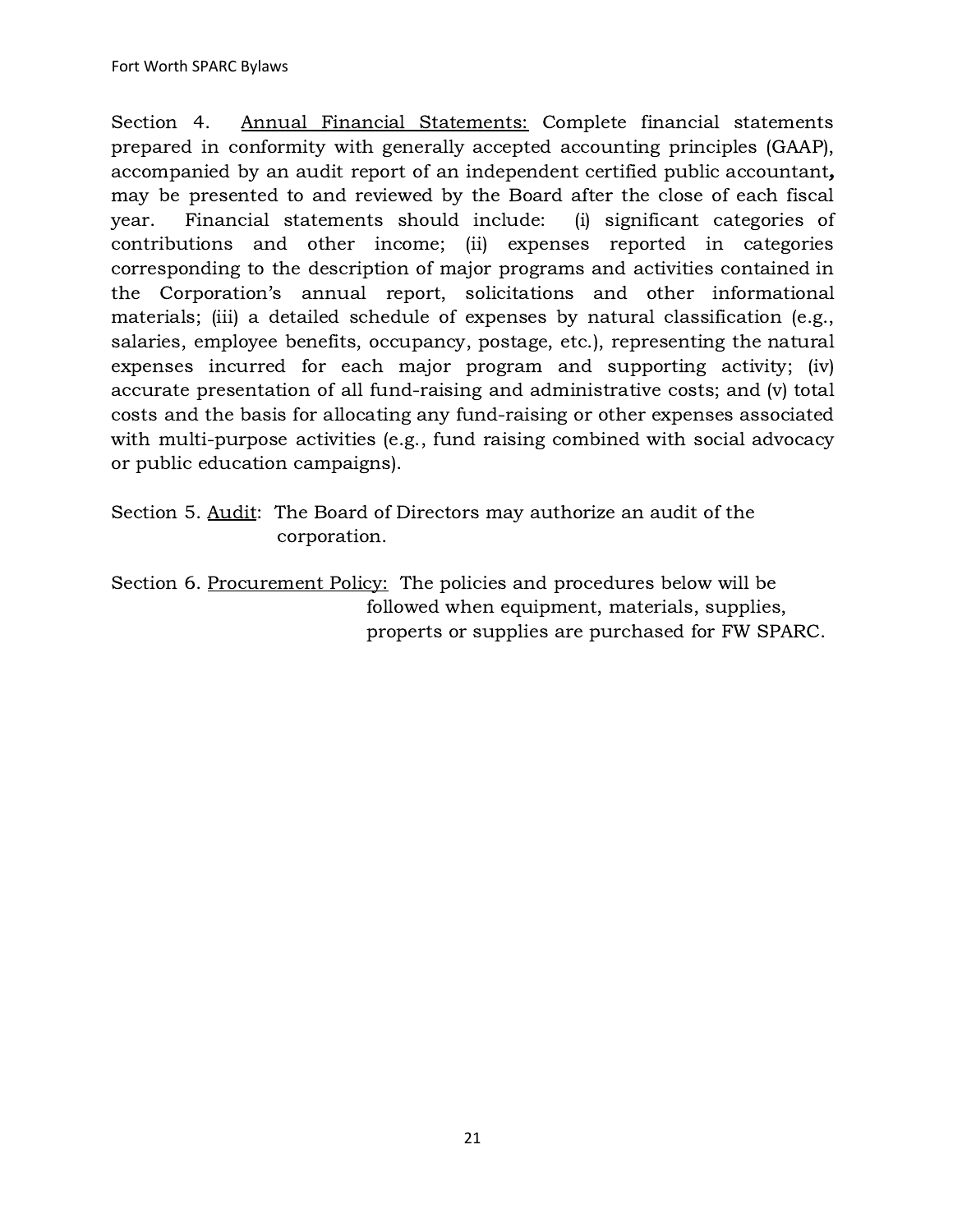Section 4. Annual Financial Statements: Complete financial statements prepared in conformity with generally accepted accounting principles (GAAP), accompanied by an audit report of an independent certified public accountant, may be presented to and reviewed by the Board after the close of each fiscal year. Financial statements should include: (i) significant categories of contributions and other income; (ii) expenses reported in categories corresponding to the description of major programs and activities contained in the Corporation's annual report, solicitations and other informational materials; (iii) a detailed schedule of expenses by natural classification (e.g., salaries, employee benefits, occupancy, postage, etc.), representing the natural expenses incurred for each major program and supporting activity; (iv) accurate presentation of all fund-raising and administrative costs; and (v) total costs and the basis for allocating any fund-raising or other expenses associated with multi-purpose activities (e.g., fund raising combined with social advocacy or public education campaigns).

Section 5. Audit: The Board of Directors may authorize an audit of the corporation.

Section 6. Procurement Policy: The policies and procedures below will be followed when equipment, materials, supplies, properts or supplies are purchased for FW SPARC.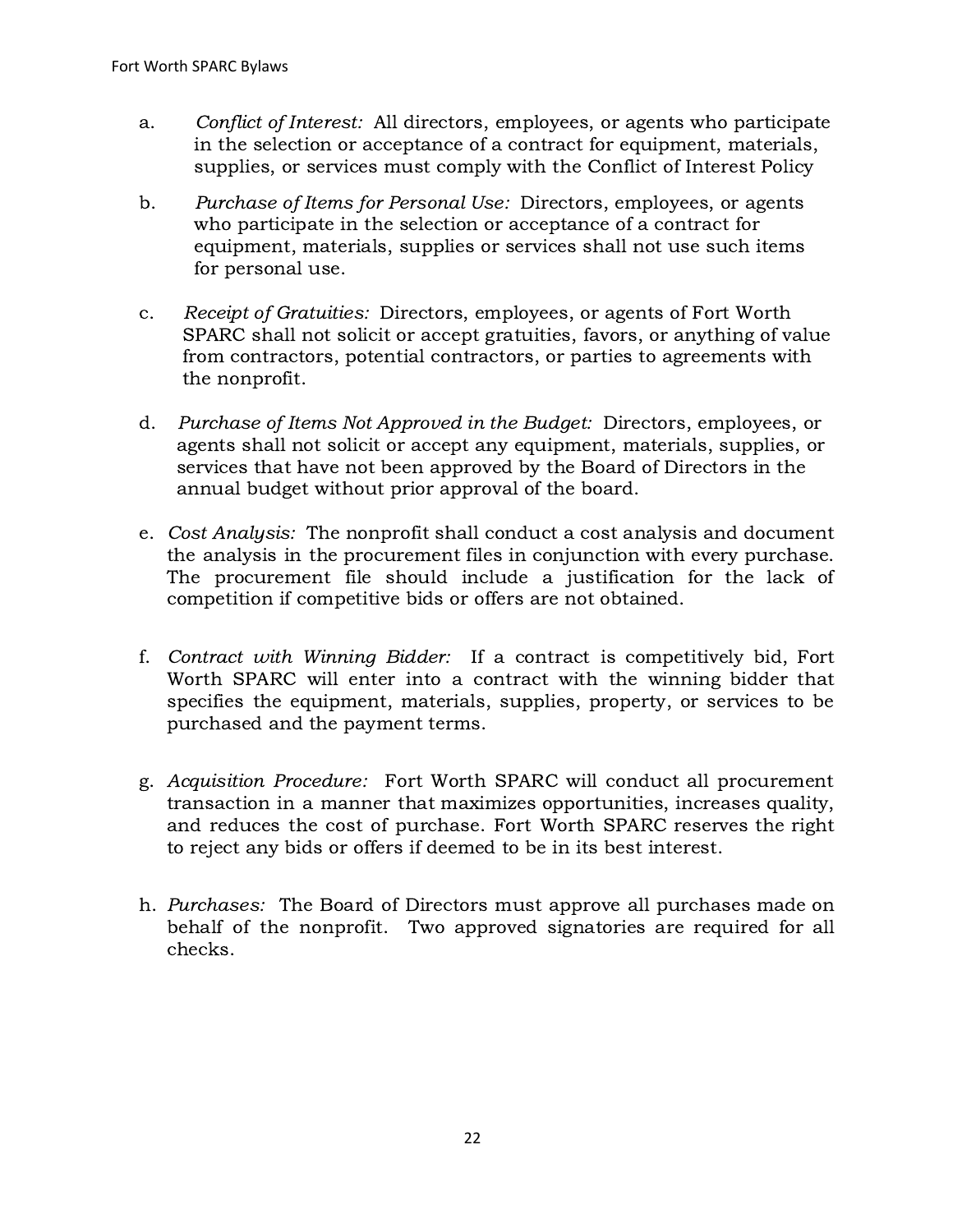- a. Conflict of Interest: All directors, employees, or agents who participate in the selection or acceptance of a contract for equipment, materials, supplies, or services must comply with the Conflict of Interest Policy
- b. Purchase of Items for Personal Use: Directors, employees, or agents who participate in the selection or acceptance of a contract for equipment, materials, supplies or services shall not use such items for personal use.
- c. Receipt of Gratuities: Directors, employees, or agents of Fort Worth SPARC shall not solicit or accept gratuities, favors, or anything of value from contractors, potential contractors, or parties to agreements with the nonprofit.
- d. Purchase of Items Not Approved in the Budget: Directors, employees, or agents shall not solicit or accept any equipment, materials, supplies, or services that have not been approved by the Board of Directors in the annual budget without prior approval of the board.
- e. Cost Analysis: The nonprofit shall conduct a cost analysis and document the analysis in the procurement files in conjunction with every purchase. The procurement file should include a justification for the lack of competition if competitive bids or offers are not obtained.
- f. Contract with Winning Bidder: If a contract is competitively bid, Fort Worth SPARC will enter into a contract with the winning bidder that specifies the equipment, materials, supplies, property, or services to be purchased and the payment terms.
- g. Acquisition Procedure: Fort Worth SPARC will conduct all procurement transaction in a manner that maximizes opportunities, increases quality, and reduces the cost of purchase. Fort Worth SPARC reserves the right to reject any bids or offers if deemed to be in its best interest.
- h. Purchases: The Board of Directors must approve all purchases made on behalf of the nonprofit. Two approved signatories are required for all checks.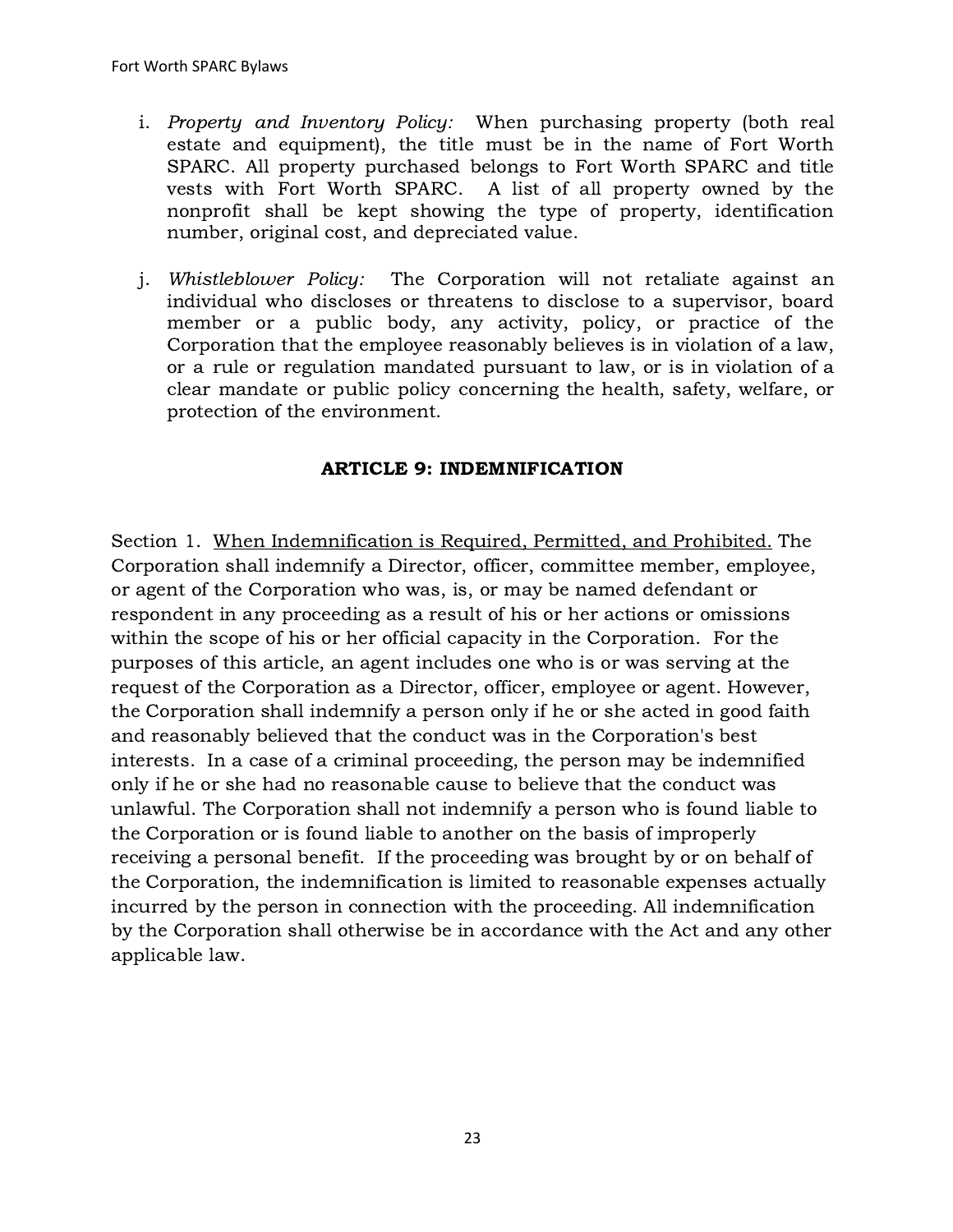- i. Property and Inventory Policy: When purchasing property (both real estate and equipment), the title must be in the name of Fort Worth SPARC. All property purchased belongs to Fort Worth SPARC and title vests with Fort Worth SPARC. <sup>A</sup> list of all property owned by the nonprofit shall be kept showing the type of property, identification number, original cost, and depreciated value.
- j. Whistleblower Policy: The Corporation will not retaliate against an individual who discloses or threatens to disclose to a supervisor, board member or a public body, any activity, policy, or practice of the Corporation that the employee reasonably believes is in violation of a law, or a rule or regulation mandated pursuant to law, or is in violation of a clear mandate or public policy concerning the health, safety, welfare, or protection of the environment.

#### ARTICLE 9: INDEMNIFICATION

Section 1. When Indemnification is Required, Permitted, and Prohibited. The Corporation shall indemnify a Director, officer, committee member, employee, or agent of the Corporation who was, is, or may be named defendant or respondent in any proceeding as a result of his or her actions or omissions within the scope of his or her official capacity in the Corporation. For the purposes of this article, an agent includes one who is or was serving at the request of the Corporation as a Director, officer, employee or agent. However, the Corporation shall indemnify a person only if he or she acted in good faith and reasonably believed that the conduct was in the Corporation's best interests. In a case of a criminal proceeding, the person may be indemnified only if he or she had no reasonable cause to believe that the conduct was unlawful. The Corporation shall not indemnify a person who is found liable to the Corporation or is found liable to another on the basis of improperly receiving a personal benefit. If the proceeding was brought by or on behalf of the Corporation, the indemnification is limited to reasonable expenses actually incurred by the person in connection with the proceeding. All indemnification by the Corporation shall otherwise be in accordance with the Act and any other applicable law.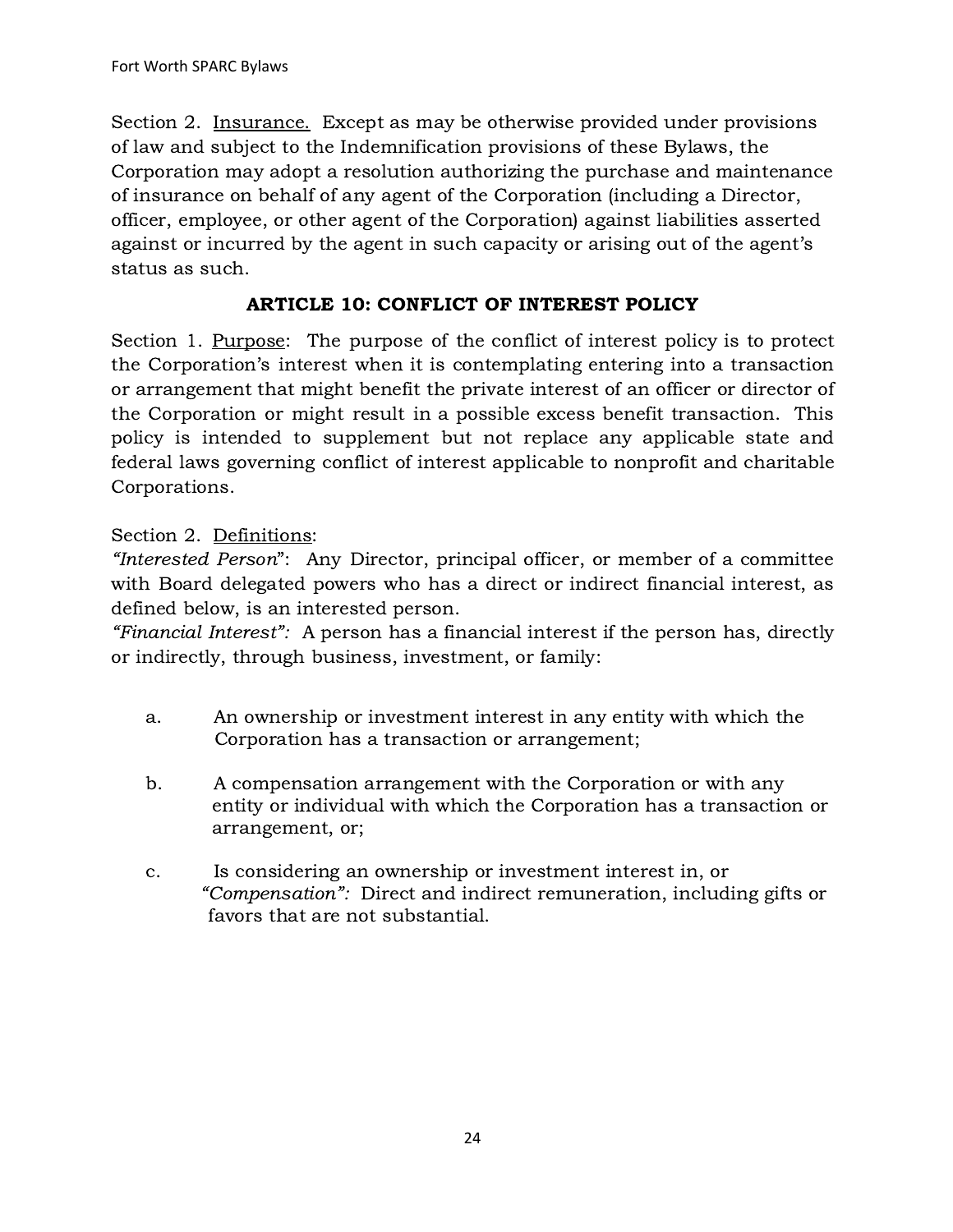Section 2. Insurance. Except as may be otherwise provided under provisions of law and subject to the Indemnification provisions of these Bylaws, the Corporation may adopt a resolution authorizing the purchase and maintenance of insurance on behalf of any agent of the Corporation (including a Director, officer, employee, or other agent of the Corporation) against liabilities asserted against or incurred by the agent in such capacity or arising out of the agent's status as such.

# ARTICLE 10: CONFLICT OF INTEREST POLICY

Section 1. Purpose: The purpose of the conflict of interest policy is to protect the Corporation's interest when it is contemplating entering into a transaction or arrangement that might benefit the private interest of an officer or director of the Corporation or might result in a possible excess benefit transaction. This policy is intended to supplement but not replace any applicable state and federal laws governing conflict of interest applicable to nonprofit and charitable Corporations.

## Section 2. Definitions:

"Interested Person": Any Director, principal officer, or member of a committee with Board delegated powers who has a direct or indirect financial interest, as defined below, is an interested person.

"Financial Interest": A person has a financial interest if the person has, directly or indirectly, through business, investment, or family:

- a. An ownership or investment interest in any entity with which the Corporation has a transaction or arrangement;
- b. A compensation arrangement with the Corporation or with any entity or individual with which the Corporation has a transaction or arrangement, or;
- c. Is considering an ownership or investment interest in, or "Compensation": Direct and indirect remuneration, including gifts or favors that are not substantial.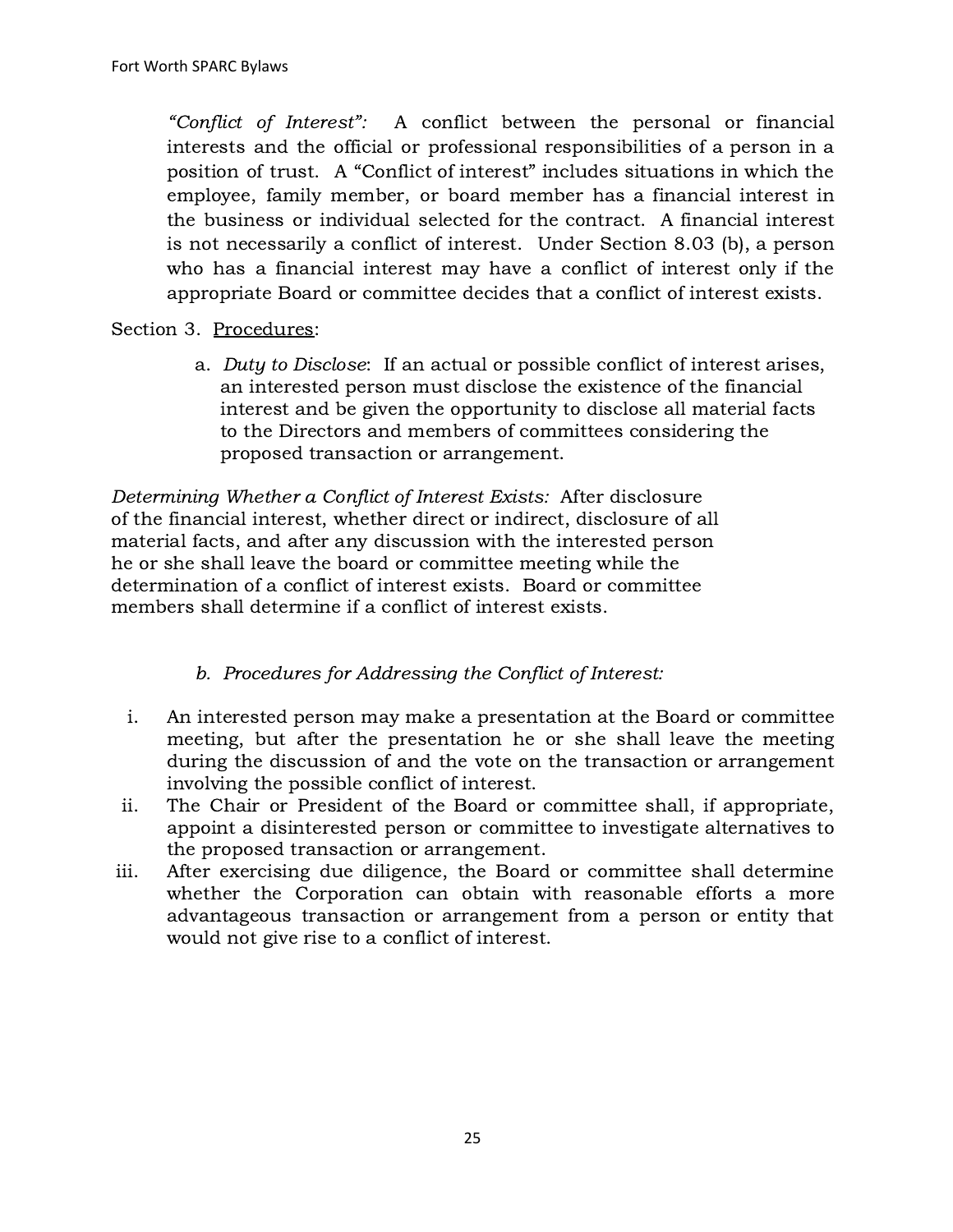"Conflict of Interest": A conflict between the personal or financial interests and the official or professional responsibilities of a person in a position of trust. A "Conflict of interest" includes situations in which the employee, family member, or board member has a financial interest in the business or individual selected for the contract. A financial interest is not necessarily a conflict of interest. Under Section 8.03 (b), a person who has a financial interest may have a conflict of interest only if the appropriate Board or committee decides that a conflict of interest exists.

#### Section 3. Procedures:

a. Duty to Disclose: If an actual or possible conflict of interest arises, an interested person must disclose the existence of the financial interest and be given the opportunity to disclose all material facts to the Directors and members of committees considering the proposed transaction or arrangement.

Determining Whether a Conflict of Interest Exists: After disclosure of the financial interest, whether direct or indirect, disclosure of all material facts, and after any discussion with the interested person he or she shall leave the board or committee meeting while the determination of a conflict of interest exists. Board or committee members shall determine if a conflict of interest exists.

## b. Procedures for Addressing the Conflict of Interest:

- i. An interested person may make a presentation at the Board or committee meeting, but after the presentation he or she shall leave the meeting during the discussion of and the vote on the transaction or arrangement involving the possible conflict of interest.
- ii. The Chair or President of the Board or committee shall, if appropriate, appoint a disinterested person or committee to investigate alternatives to the proposed transaction or arrangement.
- iii. After exercising due diligence, the Board or committee shall determine whether the Corporation can obtain with reasonable efforts a more advantageous transaction or arrangement from a person or entity that would not give rise to a conflict of interest.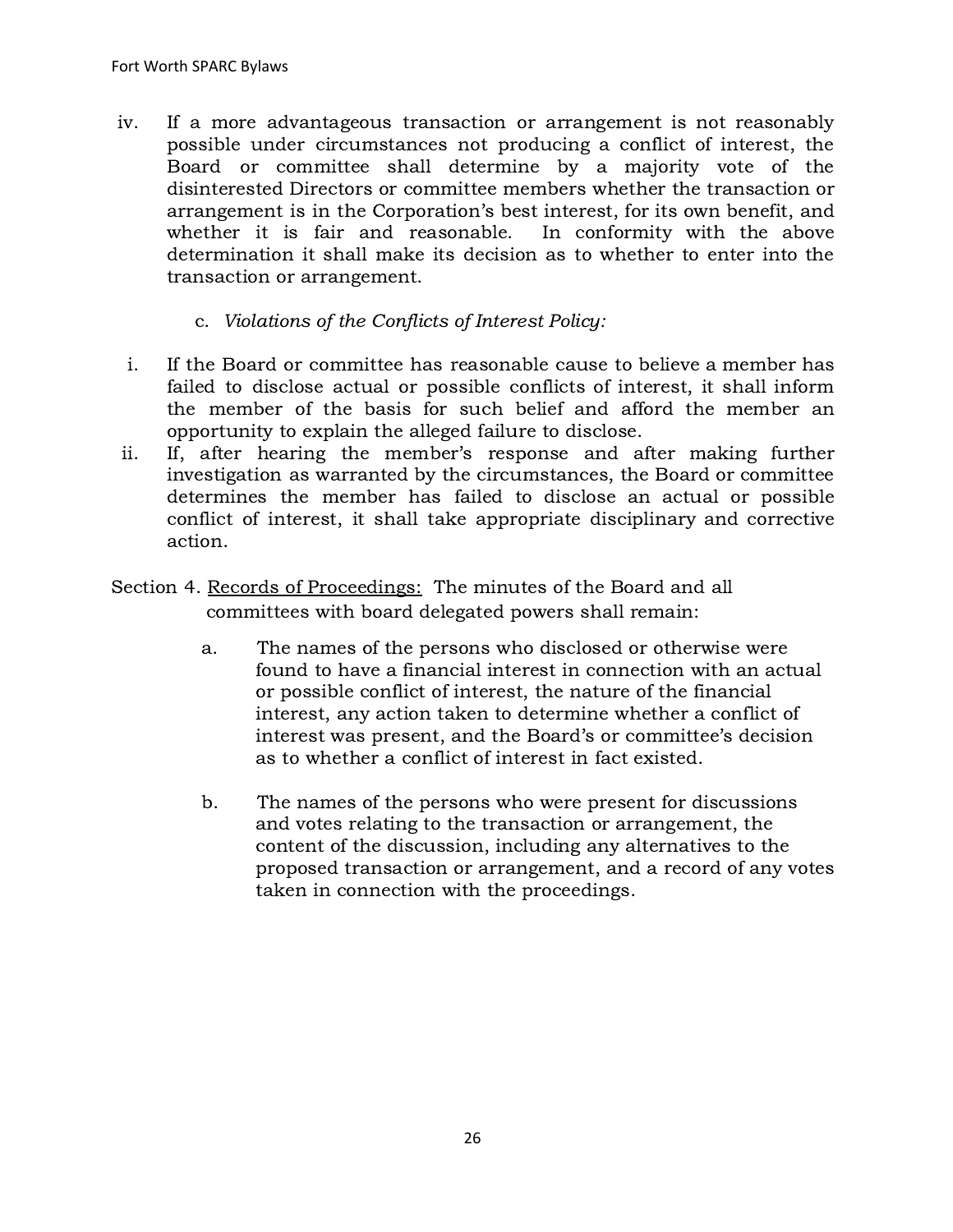- iv. If a more advantageous transaction or arrangement is not reasonably possible under circumstances not producing a conflict of interest, the Board or committee shall determine by a majority vote of the disinterested Directors or committee members whether the transaction or arrangement is in the Corporation's best interest, for its own benefit, and whether it is fair and reasonable. In conformity with the above determination it shall make its decision as to whether to enter into the transaction or arrangement.
	- c. Violations of the Conflicts of Interest Policy:
- i. If the Board or committee has reasonable cause to believe a member has failed to disclose actual or possible conflicts of interest, it shall inform the member of the basis for such belief and afford the member an opportunity to explain the alleged failure to disclose.
- ii. If, after hearing the member's response and after making further investigation as warranted by the circumstances, the Board or committee determines the member has failed to disclose an actual or possible conflict of interest, it shall take appropriate disciplinary and corrective action.
- Section 4. Records of Proceedings: The minutes of the Board and all committees with board delegated powers shall remain:
	- a. The names of the persons who disclosed or otherwise were found to have a financial interest in connection with an actual or possible conflict of interest, the nature of the financial interest, any action taken to determine whether a conflict of interest was present, and the Board's or committee's decision as to whether a conflict of interest in fact existed.
	- b. The names of the persons who were present for discussions and votes relating to the transaction or arrangement, the content of the discussion, including any alternatives to the proposed transaction or arrangement, and a record of any votes taken in connection with the proceedings.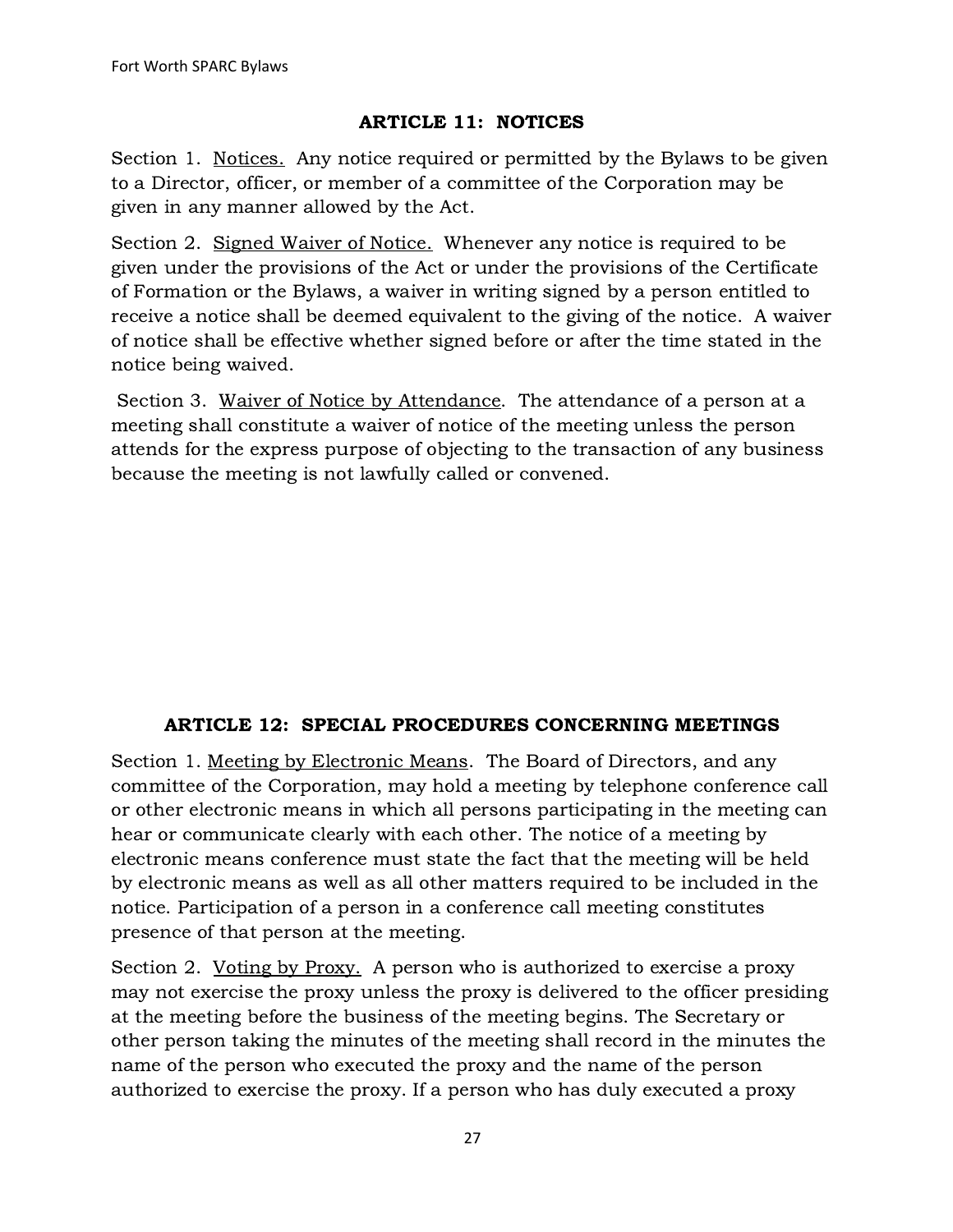#### ARTICLE 11: NOTICES

Section 1. Notices. Any notice required or permitted by the Bylaws to be given to a Director, officer, or member of a committee of the Corporation may be given in any manner allowed by the Act.

Section 2. Signed Waiver of Notice. Whenever any notice is required to be given under the provisions of the Act or under the provisions of the Certificate of Formation or the Bylaws, a waiver in writing signed by a person entitled to receive a notice shall be deemed equivalent to the giving of the notice. A waiver of notice shall be effective whether signed before or after the time stated in the notice being waived.

Section 3. Waiver of Notice by Attendance. The attendance of a person at a meeting shall constitute a waiver of notice of the meeting unless the person attends for the express purpose of objecting to the transaction of any business because the meeting is not lawfully called or convened.

## ARTICLE 12: SPECIAL PROCEDURES CONCERNING MEETINGS

Section 1. Meeting by Electronic Means. The Board of Directors, and any committee of the Corporation, may hold a meeting by telephone conference call or other electronic means in which all persons participating in the meeting can hear or communicate clearly with each other. The notice of a meeting by electronic means conference must state the fact that the meeting will be held by electronic means as well as all other matters required to be included in the notice. Participation of a person in a conference call meeting constitutes presence of that person at the meeting.

Section 2. Voting by Proxy. A person who is authorized to exercise a proxy may not exercise the proxy unless the proxy is delivered to the officer presiding at the meeting before the business of the meeting begins. The Secretary or other person taking the minutes of the meeting shall record in the minutes the name of the person who executed the proxy and the name of the person authorized to exercise the proxy. If a person who has duly executed a proxy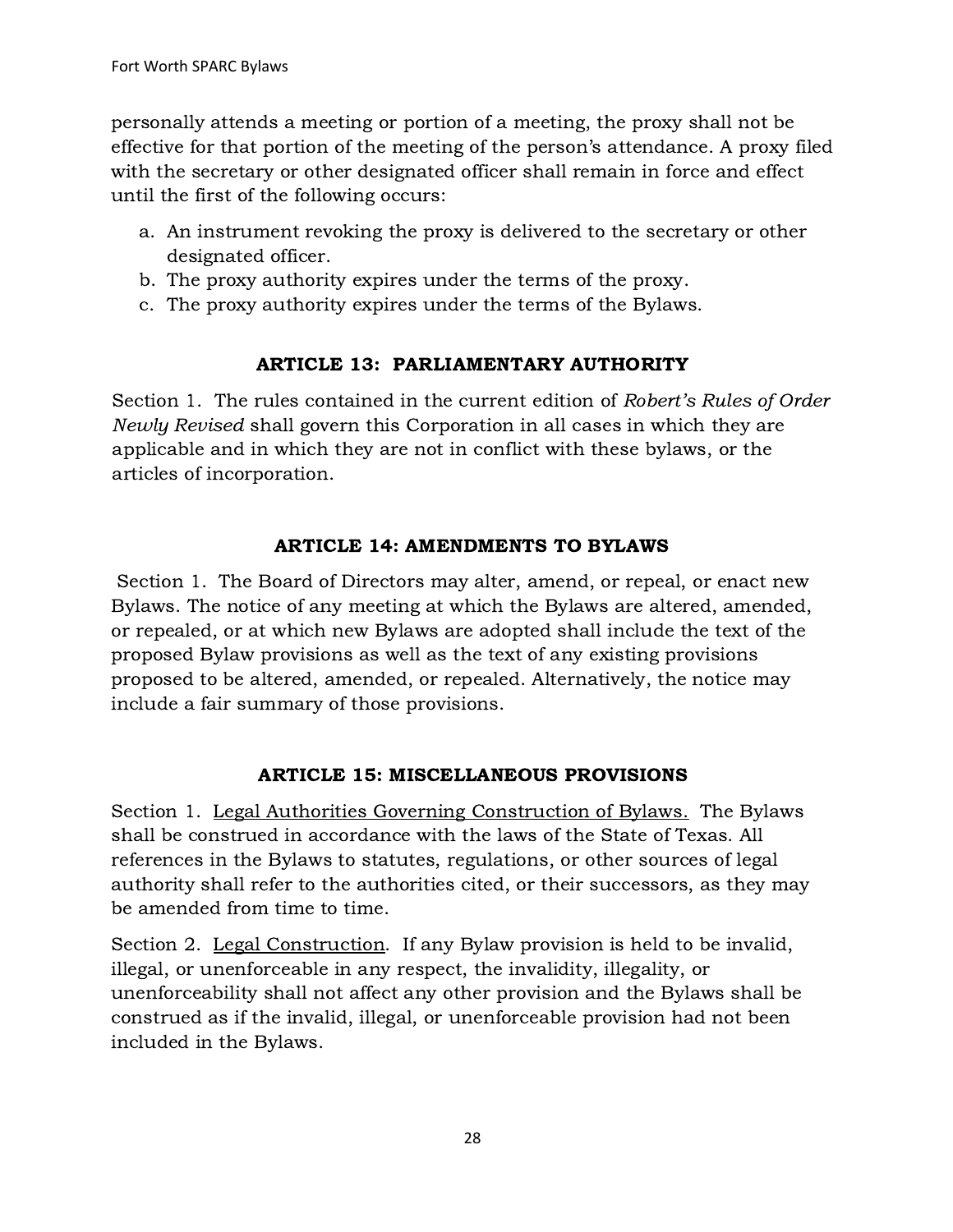personally attends a meeting or portion of a meeting, the proxy shall not be effective for that portion of the meeting of the person's attendance. A proxy filed with the secretary or other designated officer shall remain in force and effect until the first of the following occurs:

- a. An instrument revoking the proxy is delivered to the secretary or other designated officer.
- b. The proxy authority expires under the terms of the proxy.
- c. The proxy authority expires under the terms of the Bylaws.

## ARTICLE 13: PARLIAMENTARY AUTHORITY

Section 1. The rules contained in the current edition of Robert's Rules of Order Newly Revised shall govern this Corporation in all cases in which they are applicable and in which they are not in conflict with these bylaws, or the articles of incorporation.

## ARTICLE 14: AMENDMENTS TO BYLAWS

 Section 1. The Board of Directors may alter, amend, or repeal, or enact new Bylaws. The notice of any meeting at which the Bylaws are altered, amended, or repealed, or at which new Bylaws are adopted shall include the text of the proposed Bylaw provisions as well as the text of any existing provisions proposed to be altered, amended, or repealed. Alternatively, the notice may include a fair summary of those provisions.

## ARTICLE 15: MISCELLANEOUS PROVISIONS

Section 1. Legal Authorities Governing Construction of Bylaws. The Bylaws shall be construed in accordance with the laws of the State of Texas. All references in the Bylaws to statutes, regulations, or other sources of legal authority shall refer to the authorities cited, or their successors, as they may be amended from time to time.

Section 2. Legal Construction. If any Bylaw provision is held to be invalid, illegal, or unenforceable in any respect, the invalidity, illegality, or unenforceability shall not affect any other provision and the Bylaws shall be construed as if the invalid, illegal, or unenforceable provision had not been included in the Bylaws.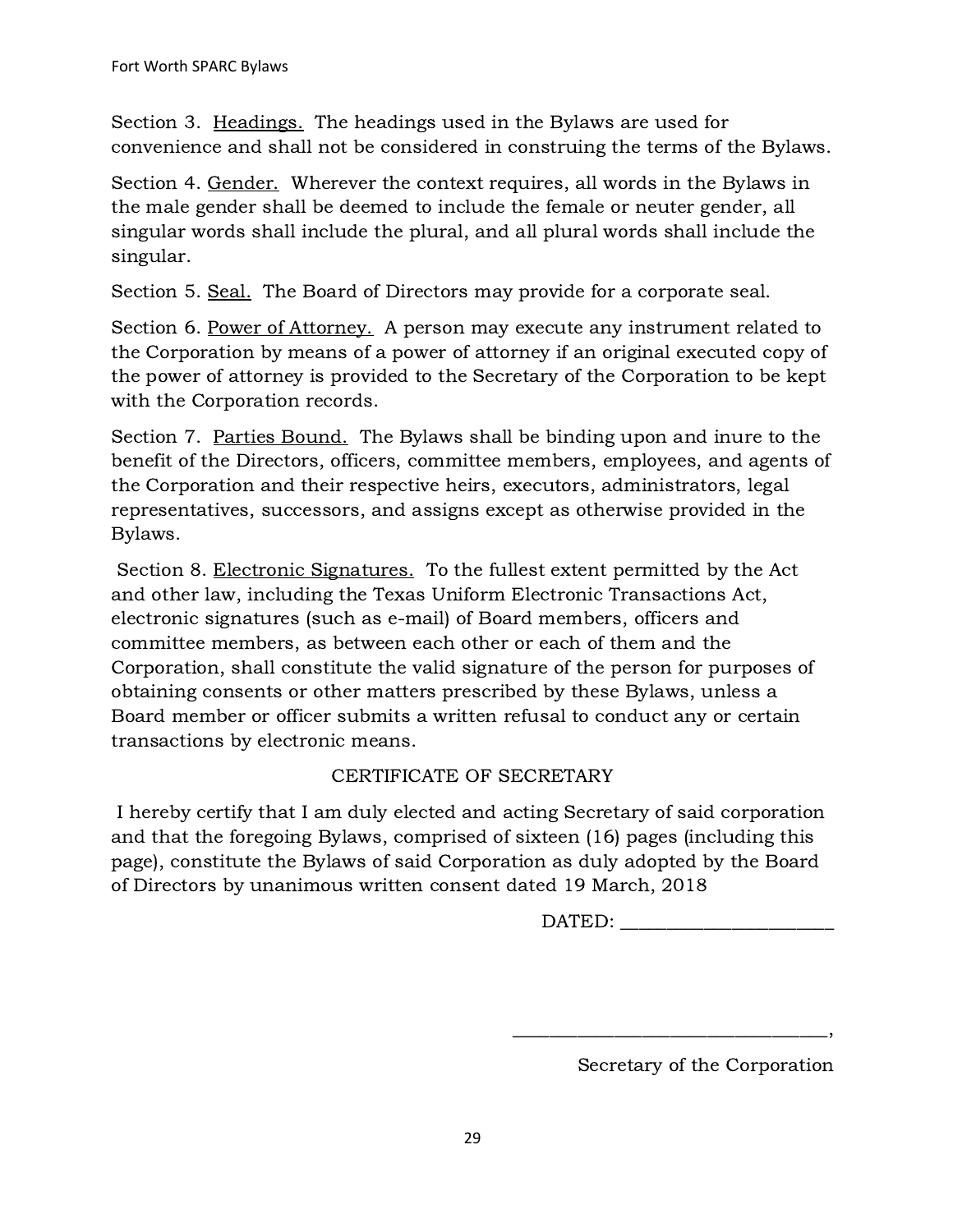Section 3. Headings. The headings used in the Bylaws are used for convenience and shall not be considered in construing the terms of the Bylaws.

Section 4. Gender. Wherever the context requires, all words in the Bylaws in the male gender shall be deemed to include the female or neuter gender, all singular words shall include the plural, and all plural words shall include the singular.

Section 5. Seal. The Board of Directors may provide for a corporate seal.

Section 6. Power of Attorney. A person may execute any instrument related to the Corporation by means of a power of attorney if an original executed copy of the power of attorney is provided to the Secretary of the Corporation to be kept with the Corporation records.

Section 7. Parties Bound. The Bylaws shall be binding upon and inure to the benefit of the Directors, officers, committee members, employees, and agents of the Corporation and their respective heirs, executors, administrators, legal representatives, successors, and assigns except as otherwise provided in the Bylaws.

 Section 8. Electronic Signatures. To the fullest extent permitted by the Act and other law, including the Texas Uniform Electronic Transactions Act, electronic signatures (such as e-mail) of Board members, officers and committee members, as between each other or each of them and the Corporation, shall constitute the valid signature of the person for purposes of obtaining consents or other matters prescribed by these Bylaws, unless a Board member or officer submits a written refusal to conduct any or certain transactions by electronic means.

## CERTIFICATE OF SECRETARY

 I hereby certify that I am duly elected and acting Secretary of said corporation and that the foregoing Bylaws, comprised of sixteen (16) pages (including this page), constitute the Bylaws of said Corporation as duly adopted by the Board of Directors by unanimous written consent dated 19 March, 2018

DATED:

 $\mathcal{L}$ 

Secretary of the Corporation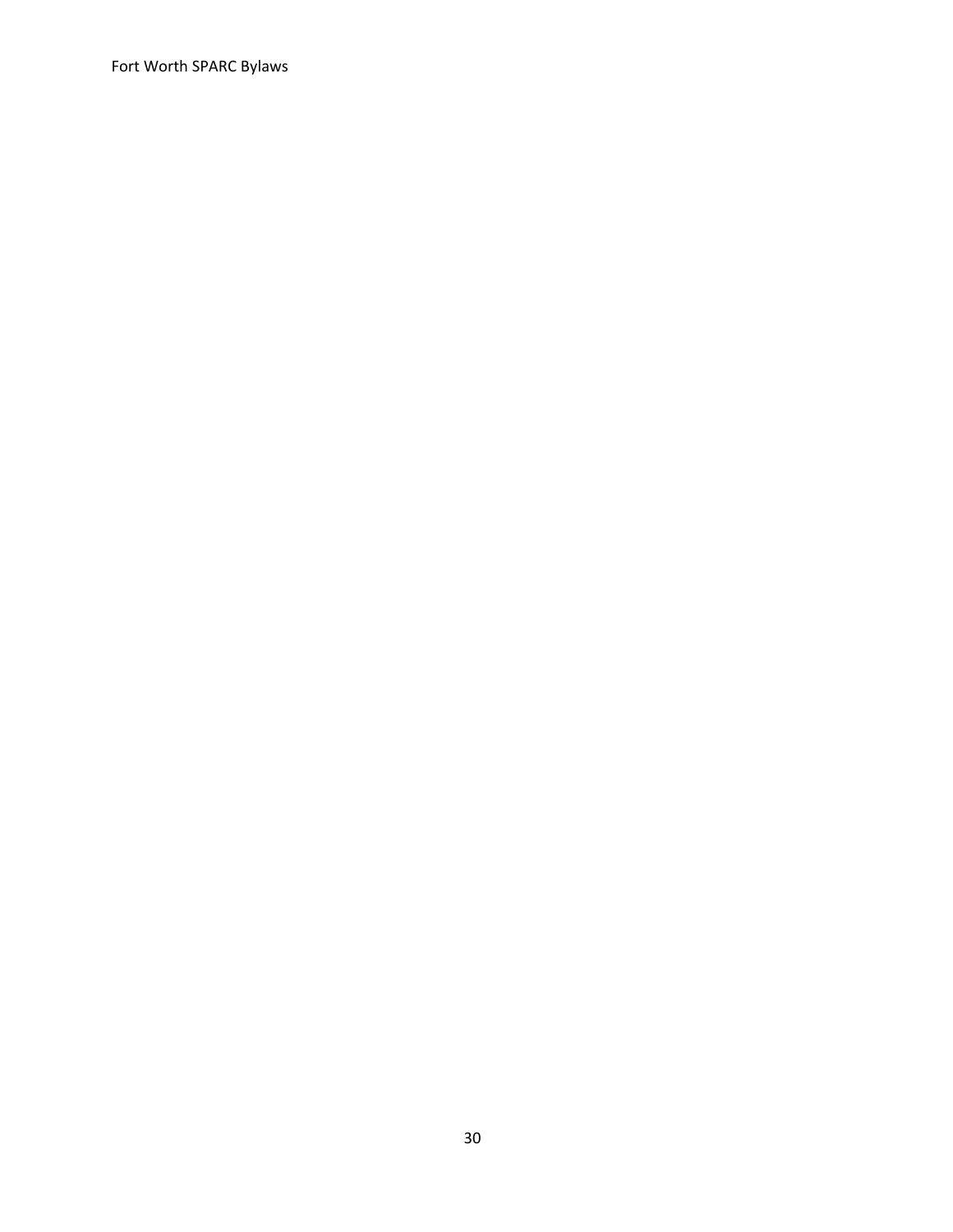Fort Worth SPARC Bylaws